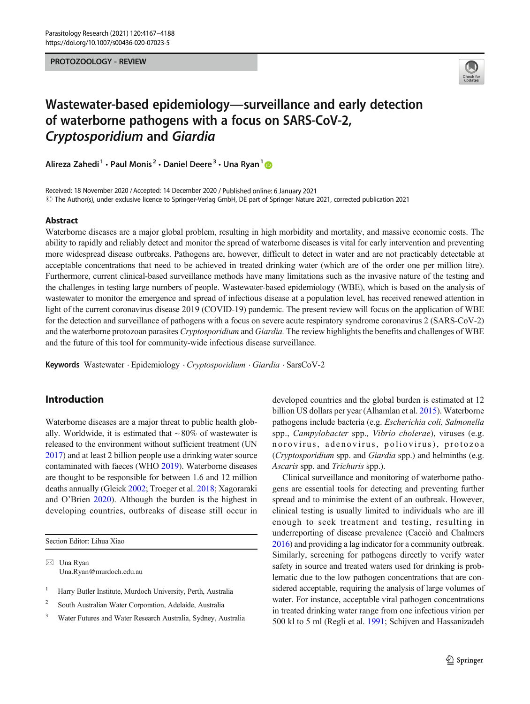#### PROTOZOOLOGY - REVIEW



# Wastewater-based epidemiology—surveillance and early detection of waterborne pathogens with a focus on SARS-CoV-2, Cryptosporidium and Giardia

Alireza Zahedi<sup>1</sup> · Paul Monis<sup>2</sup> · Daniel Deere<sup>3</sup> · Una Ryan<sup>1</sup>

Received: 18 November 2020 /Accepted: 14 December 2020 / Published online: 6 January 2021  $\odot$  The Author(s), under exclusive licence to Springer-Verlag GmbH, DE part of Springer Nature 2021, corrected publication 2021

#### Abstract

Waterborne diseases are a major global problem, resulting in high morbidity and mortality, and massive economic costs. The ability to rapidly and reliably detect and monitor the spread of waterborne diseases is vital for early intervention and preventing more widespread disease outbreaks. Pathogens are, however, difficult to detect in water and are not practicably detectable at acceptable concentrations that need to be achieved in treated drinking water (which are of the order one per million litre). Furthermore, current clinical-based surveillance methods have many limitations such as the invasive nature of the testing and the challenges in testing large numbers of people. Wastewater-based epidemiology (WBE), which is based on the analysis of wastewater to monitor the emergence and spread of infectious disease at a population level, has received renewed attention in light of the current coronavirus disease 2019 (COVID-19) pandemic. The present review will focus on the application of WBE for the detection and surveillance of pathogens with a focus on severe acute respiratory syndrome coronavirus 2 (SARS-CoV-2) and the waterborne protozoan parasites *Cryptosporidium* and *Giardia*. The review highlights the benefits and challenges of WBE and the future of this tool for community-wide infectious disease surveillance.

Keywords Wastewater . Epidemiology . Cryptosporidium . Giardia . SarsCoV-2

# Introduction

Waterborne diseases are a major threat to public health globally. Worldwide, it is estimated that  $\sim 80\%$  of wastewater is released to the environment without sufficient treatment (UN [2017\)](#page-20-0) and at least 2 billion people use a drinking water source contaminated with faeces (WHO [2019](#page-20-0)). Waterborne diseases are thought to be responsible for between 1.6 and 12 million deaths annually (Gleick [2002;](#page-16-0) Troeger et al. [2018;](#page-19-0) Xagoraraki and O'Brien [2020](#page-20-0)). Although the burden is the highest in developing countries, outbreaks of disease still occur in

Section Editor: Lihua Xiao

 $\boxtimes$  Una Ryan [Una.Ryan@murdoch.edu.au](mailto:Una.Ryan@murdoch.edu.au)

- <sup>1</sup> Harry Butler Institute, Murdoch University, Perth, Australia
- <sup>2</sup> South Australian Water Corporation, Adelaide, Australia
- <sup>3</sup> Water Futures and Water Research Australia, Sydney, Australia

developed countries and the global burden is estimated at 12 billion US dollars per year (Alhamlan et al. [2015](#page-15-0)). Waterborne pathogens include bacteria (e.g. Escherichia coli, Salmonella spp., Campylobacter spp., Vibrio cholerae), viruses (e.g. norovirus, adenovirus, poliovirus), protozoa (Cryptosporidium spp. and Giardia spp.) and helminths (e.g. Ascaris spp. and Trichuris spp.).

Clinical surveillance and monitoring of waterborne pathogens are essential tools for detecting and preventing further spread and to minimise the extent of an outbreak. However, clinical testing is usually limited to individuals who are ill enough to seek treatment and testing, resulting in underreporting of disease prevalence (Cacciò and Chalmers [2016\)](#page-15-0) and providing a lag indicator for a community outbreak. Similarly, screening for pathogens directly to verify water safety in source and treated waters used for drinking is problematic due to the low pathogen concentrations that are considered acceptable, requiring the analysis of large volumes of water. For instance, acceptable viral pathogen concentrations in treated drinking water range from one infectious virion per 500 kl to 5 ml (Regli et al. [1991](#page-19-0); Schijven and Hassanizadeh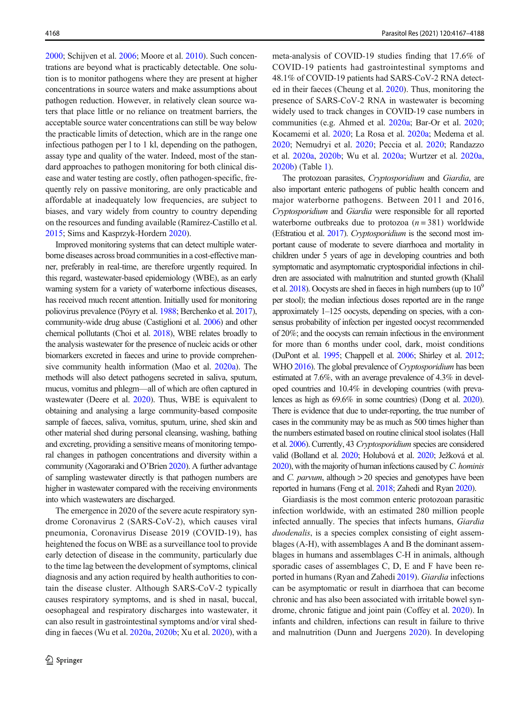[2000;](#page-19-0) Schijven et al. [2006](#page-19-0); Moore et al. [2010](#page-18-0)). Such concentrations are beyond what is practicably detectable. One solution is to monitor pathogens where they are present at higher concentrations in source waters and make assumptions about pathogen reduction. However, in relatively clean source waters that place little or no reliance on treatment barriers, the acceptable source water concentrations can still be way below the practicable limits of detection, which are in the range one infectious pathogen per l to 1 kl, depending on the pathogen, assay type and quality of the water. Indeed, most of the standard approaches to pathogen monitoring for both clinical disease and water testing are costly, often pathogen-specific, frequently rely on passive monitoring, are only practicable and affordable at inadequately low frequencies, are subject to biases, and vary widely from country to country depending on the resources and funding available (Ramírez-Castillo et al. [2015;](#page-19-0) Sims and Kasprzyk-Hordern [2020](#page-19-0)).

Improved monitoring systems that can detect multiple waterborne diseases across broad communities in a cost-effective manner, preferably in real-time, are therefore urgently required. In this regard, wastewater-based epidemiology (WBE), as an early warning system for a variety of waterborne infectious diseases, has received much recent attention. Initially used for monitoring poliovirus prevalence (Pöyry et al. [1988](#page-18-0); Berchenko et al. [2017\)](#page-15-0), community-wide drug abuse (Castiglioni et al. [2006\)](#page-15-0) and other chemical pollutants (Choi et al. [2018](#page-16-0)), WBE relates broadly to the analysis wastewater for the presence of nucleic acids or other biomarkers excreted in faeces and urine to provide comprehensive community health information (Mao et al. [2020a\)](#page-18-0). The methods will also detect pathogens secreted in saliva, sputum, mucus, vomitus and phlegm—all of which are often captured in wastewater (Deere et al. [2020](#page-16-0)). Thus, WBE is equivalent to obtaining and analysing a large community-based composite sample of faeces, saliva, vomitus, sputum, urine, shed skin and other material shed during personal cleansing, washing, bathing and excreting, providing a sensitive means of monitoring temporal changes in pathogen concentrations and diversity within a community (Xagoraraki and O'Brien [2020\)](#page-20-0). A further advantage of sampling wastewater directly is that pathogen numbers are higher in wastewater compared with the receiving environments into which wastewaters are discharged.

The emergence in 2020 of the severe acute respiratory syndrome Coronavirus 2 (SARS-CoV-2), which causes viral pneumonia, Coronavirus Disease 2019 (COVID-19), has heightened the focus on WBE as a surveillance tool to provide early detection of disease in the community, particularly due to the time lag between the development of symptoms, clinical diagnosis and any action required by health authorities to contain the disease cluster. Although SARS-CoV-2 typically causes respiratory symptoms, and is shed in nasal, buccal, oesophageal and respiratory discharges into wastewater, it can also result in gastrointestinal symptoms and/or viral shedding in faeces (Wu et al. [2020a,](#page-20-0) [2020b;](#page-20-0) Xu et al. [2020\)](#page-20-0), with a meta-analysis of COVID-19 studies finding that 17.6% of COVID-19 patients had gastrointestinal symptoms and 48.1% of COVID-19 patients had SARS-CoV-2 RNA detected in their faeces (Cheung et al. [2020](#page-15-0)). Thus, monitoring the presence of SARS-CoV-2 RNA in wastewater is becoming widely used to track changes in COVID-19 case numbers in communities (e.g. Ahmed et al. [2020a;](#page-14-0) Bar-Or et al. [2020;](#page-15-0) Kocamemi et al. [2020;](#page-17-0) La Rosa et al. [2020a;](#page-17-0) Medema et al. [2020;](#page-18-0) Nemudryi et al. [2020;](#page-18-0) Peccia et al. [2020](#page-18-0); Randazzo et al. [2020a](#page-19-0), [2020b](#page-19-0); Wu et al. [2020a;](#page-20-0) Wurtzer et al. [2020a,](#page-20-0) [2020b\)](#page-20-0) (Table [1](#page-2-0)).

The protozoan parasites, Cryptosporidium and Giardia, are also important enteric pathogens of public health concern and major waterborne pathogens. Between 2011 and 2016, Cryptosporidium and Giardia were responsible for all reported waterborne outbreaks due to protozoa  $(n = 381)$  worldwide (Efstratiou et al. [2017](#page-16-0)). Cryptosporidium is the second most important cause of moderate to severe diarrhoea and mortality in children under 5 years of age in developing countries and both symptomatic and asymptomatic cryptosporidial infections in children are associated with malnutrition and stunted growth (Khalil et al.  $2018$ ). Oocysts are shed in faeces in high numbers (up to  $10<sup>9</sup>$ per stool); the median infectious doses reported are in the range approximately 1–125 oocysts, depending on species, with a consensus probability of infection per ingested oocyst recommended of 20%; and the oocysts can remain infectious in the environment for more than 6 months under cool, dark, moist conditions (DuPont et al. [1995;](#page-16-0) Chappell et al. [2006](#page-15-0); Shirley et al. [2012;](#page-19-0) WHO [2016](#page-20-0)). The global prevalence of *Cryptosporidium* has been estimated at 7.6%, with an average prevalence of 4.3% in developed countries and 10.4% in developing countries (with prevalences as high as 69.6% in some countries) (Dong et al. [2020\)](#page-16-0). There is evidence that due to under-reporting, the true number of cases in the community may be as much as 500 times higher than the numbers estimated based on routine clinical stool isolates (Hall et al. [2006](#page-16-0)). Currently, 43 Cryptosporidium species are considered valid (Bolland et al. [2020](#page-15-0); Holubová et al. [2020](#page-17-0); Ježková et al. [2020\)](#page-17-0), with the majority of human infections caused by C. hominis and *C. parvum*, although  $> 20$  species and genotypes have been reported in humans (Feng et al. [2018](#page-16-0); Zahedi and Ryan [2020](#page-21-0)).

Giardiasis is the most common enteric protozoan parasitic infection worldwide, with an estimated 280 million people infected annually. The species that infects humans, Giardia duodenalis, is a species complex consisting of eight assemblages (A-H), with assemblages A and B the dominant assemblages in humans and assemblages C-H in animals, although sporadic cases of assemblages C, D, E and F have been reported in humans (Ryan and Zahedi [2019\)](#page-19-0). Giardia infections can be asymptomatic or result in diarrhoea that can become chronic and has also been associated with irritable bowel syndrome, chronic fatigue and joint pain (Coffey et al. [2020\)](#page-16-0). In infants and children, infections can result in failure to thrive and malnutrition (Dunn and Juergens [2020\)](#page-16-0). In developing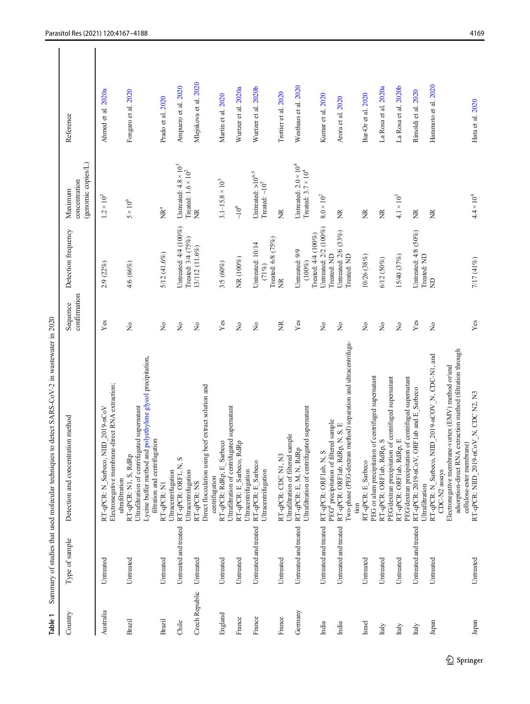|   | į<br>$\mathbf{r}$<br>I |
|---|------------------------|
|   |                        |
|   |                        |
|   | ı                      |
|   |                        |
|   | 1.《文章》                 |
|   | i                      |
|   |                        |
|   |                        |
|   |                        |
|   |                        |
|   |                        |
|   |                        |
|   |                        |
|   | l                      |
|   |                        |
|   |                        |
|   |                        |
|   | l                      |
|   |                        |
|   |                        |
|   |                        |
| I | $\ddot{\phantom{a}}$   |
|   | ֜֕<br>ı                |

<span id="page-2-0"></span>

| Country        | Type of sample        | Detection and concentration method                                                                                                                                                       | confirmation<br>Sequence            | Detection frequency                                | (genomic copies/L)<br>concentration<br>Maximum             | Reference             |
|----------------|-----------------------|------------------------------------------------------------------------------------------------------------------------------------------------------------------------------------------|-------------------------------------|----------------------------------------------------|------------------------------------------------------------|-----------------------|
| Australia      | Untreated             | Electronegative membrane-direct RNA extraction;<br>RT-qPCR: N Sarbeco, NIID 2019-nCoV<br>ultrafiltration                                                                                 | Yes                                 | 2/9 (22%)                                          | $1.2 \times 10^2$                                          | Ahmed et al. 2020a    |
| Brazil         | Untreated             | Lycine buffer method and polyethylene glycol precipitation,<br>Ultrafiltration of centrifugated supernatant<br>filtration and centrifugation<br>RT-qPCR: N1, S, RdRp                     | $\tilde{z}$                         | 4/6 (66%)                                          | $5\times10^6$                                              | Fongaro et al. 2020   |
| Brazil         | Untreated             | Ultracentrifugation<br>RT-qPCR: N1                                                                                                                                                       | $\tilde{z}$                         | 5/12 (41.6%)                                       | È                                                          | Prado et al. 2020     |
| Chile          | Untreated and treated | RT-qPCR: ORF1, N, S<br>Ultracentrifugation                                                                                                                                               | $\frac{1}{2}$                       | Untreated: 4/4 (100%)<br>Treated: 3/4 (75%)        | Untreated: $4.8 \times 10^3$<br>Treated: $1.6 \times 10^2$ | Ampuero et al. 2020   |
| Czech Republic | Untreated             | Direct flocculation using beef extract solution and<br>centrifugation<br>RT-qPCR: NS                                                                                                     | $\tilde{z}$                         | 13/112 (11.6%)                                     | $\widetilde{\Xi}$                                          | Mlejnkova et al. 2020 |
| England        | Untreated             | Ultrafiltration of centrifugated supernatant<br>Sarbeco<br>RT-qPCR: RdRp, E                                                                                                              | Yes                                 | 3/5 (60%)                                          | $3.1 - 15.8 \times 10^3$                                   | Martin et al. 2020    |
| France         | Untreated             | RT-qPCR: E_Sarbeco, RdRp<br>Ultracentrifugation                                                                                                                                          | $\frac{1}{2}$                       | NR (100%)                                          | $\sim10^6$                                                 | Wurtzer et al. 2020a  |
| France         | Untreated and treated | RT-qPCR: E Sarbeco<br>Ultracentrifugation                                                                                                                                                | $\frac{1}{2}$                       | Treated: 6/8 (75%)<br>Untreated: 10/14<br>(71%)    | Untreated: $>10^{6.5}$<br>Treated: $\sim\!\!10^5$          | Wurtzer et al. 2020b  |
| France         | Untreated             | Ultrafiltration of filtered sample<br>RT-qPCR: CDC N1, N3                                                                                                                                | ž                                   | É                                                  | Ž                                                          | Trottier et al. 2020  |
| Germany        | Untreated and treated | Ultrafiltration of centrifugated supernatant<br>RT-qPCR: E, M, N, RdRp                                                                                                                   | Yes                                 | Treated: 4/4 (100%)<br>Untreated: 9/9<br>$(100\%)$ | Untreated: $2.0 \times 10^4$<br>Treated: $3.7 \times 10^4$ | Westhaus et al. 2020  |
| India          | Untreated and treated | PEG <sup>d</sup> precipitation of filtered sample<br>RT-qPCR: ORF1ab, N, S                                                                                                               | $\overline{z}$                      | Untreated: 2/2 (100%)<br>Treated: ND               | $8.0 \times 10^{2}$                                        | Kumar et al. 2020     |
| India          | Untreated and treated | Two-phase (PEG-dextran method) separation and ultracentrifuga-<br>RT-qPCR: ORF1ab, RdRp, N, S, E                                                                                         | $\tilde{z}$                         | Untreated: 2/6 (33%)<br>Treated: ND                | ã                                                          | Arora et al. 2020     |
| Israel         | Untreated             | PEG or alum precipitation of centrifuged supernatant<br>RT-qPCR: E Sarbeco<br>tion                                                                                                       | $\tilde{z}$                         | 10/26 (38%)                                        | ž                                                          | Bar-Or et al. 2020    |
| Italy          | Untreated             | PEG/dextran precipitation of centrifuged supernatant<br>RT-qPCR: ORF1ab, RdRp, S                                                                                                         | $\stackrel{\circ}{\mathsf{Z}}$      | 6/12 (50%)                                         | ž                                                          | La Rosa et al. 2020a  |
| Italy          | Untreated             | PEG/dextran precipitation of centrifuged supernatant<br>RT-qPCR: ORF1ab, RdRp, E                                                                                                         | $\stackrel{\mathtt{o}}{\mathsf{z}}$ | 15/40 (37%)                                        | $4.1\times10^3$                                            | La Rosa et al. 2020b  |
| Italy          | Untreated and treated | RT-qPCR: 2019-nCoV, ORF1ab and E_Sarbeco<br>Ultrafiltration                                                                                                                              | $\mathbf{Yes}$                      | Untreated: 4/8 (50%)<br>Treated: ND                | E                                                          | Rimoldi et al. 2020   |
| Japan          | Untreated             | RT-qPCR: N_Sarbeco, NIID_2019-nCOV_N, CDC-N1, and<br>CDC-N2 assays                                                                                                                       | $\frac{1}{2}$                       | $\Xi$                                              | Ĕ                                                          | Haramoto et al. 2020  |
| Japan          | Untreated             | adsorption-direct RNA extraction method (filtration through<br>Electronegative membrane-vortex (EMV) method or/and<br>RT-qPCR: NIID 2019-nCoV_N, CDC N2, N3<br>cellulose-ester membrane) | Yes                                 | 7/17 (41%)                                         | $4.4 \times 10^{4}$                                        | Hata et al. 2020      |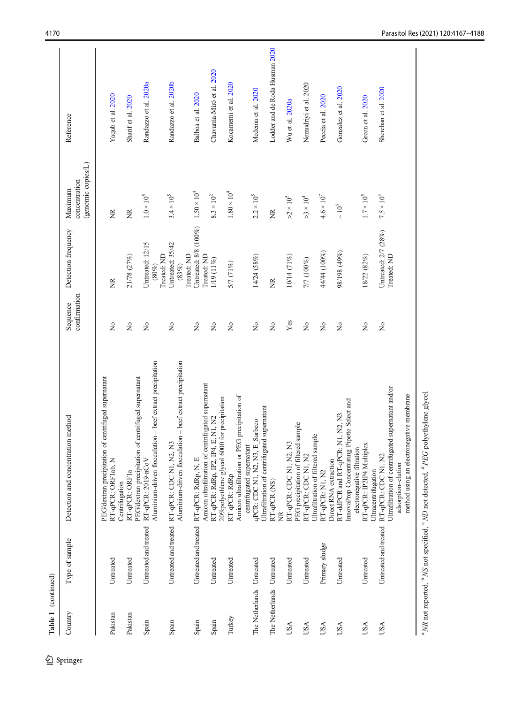| Table 1 (continued)       |                       |                                                                                                                                                |                          |                                             |                                                |                                |
|---------------------------|-----------------------|------------------------------------------------------------------------------------------------------------------------------------------------|--------------------------|---------------------------------------------|------------------------------------------------|--------------------------------|
| Country                   | Type of sample        | Detection and concentration method                                                                                                             | confirmation<br>Sequence | Detection frequency                         | (genomic copies/L)<br>concentration<br>Maximum | Reference                      |
| Pakistan                  | Untreated             | centrifuged supernatant<br>PEG/dextran precipitation of<br>RT-qPCR: ORF1ab, N                                                                  | $\frac{1}{2}$            | Ĕ                                           | Ĕ                                              | Yaqub et al. 2020              |
| Pakistan                  | Untreated             | RT-qPCR: ORF1a<br>Centrifugation                                                                                                               | $\tilde{z}$              | 21/78 (27%)                                 | Ž                                              | Sharif et al. 2020             |
| Spain                     | Untreated and treated | Aluminium-driven flocculation - beef extract precipitation<br>PEG/dextran precipitation of centrifuged supernatant<br>RT-qPCR: 2019-nCoV       | $\tilde{z}$              | Untreated: 12/15<br>Treated: ND<br>$(80\%)$ | $1.0\times10^5$                                | Randazzo et al. 2020a          |
| Spain                     | Untreated and treated | Aluminium-driven flocculation - beef extract precipitation<br>RT-qPCR: CDC N1, N2, N3                                                          | $\tilde{z}$              | Untreated: 35/42<br>Treated: ND<br>(83%)    | $3.4\times10^5$                                | Randazzo et al. 2020b          |
| Spain                     | Untreated and treated | RT-qPCR: RdRp, N, E                                                                                                                            | $\frac{1}{2}$            | Untreated: 8/8 (100%)<br>Treated: ND        | $1.50 \times 10^{4}$                           | Balboa et al. 2020             |
| Spain                     | Untreated             | Amicon ultrafiltration of centrifugated supernatant<br>20%polyethlene glycol 6000 for precipitation<br>E, N1, N2<br>RT-qPCR: RdRp, IP2, IP4, I | $\tilde{z}$              | 1/19 (11%)                                  | $8.3\times10^2$                                | Chavarria-Miró et al. 2020     |
| Turkey                    | Untreated             | Amicon ultrafiltration or PEG precipitation of<br>RT-qPCR: RdRp                                                                                | $\frac{1}{2}$            | 5/7 (71%)                                   | $1.80 \times 10^{4}$                           | Kocamemi et al. 2020           |
| The Netherlands Untreated |                       | Ultrafiltration of centrifugated supernatant<br>Sarbeco<br>centrifugated supernatant<br>qPCR: CDC N1, N2, N3, E                                | $\frac{1}{2}$            | 14/24 (58%)                                 | $2.2\times10^5$                                | Medema et al. 2020             |
| The Netherlands Untreated |                       | RT-qPCR (NS)<br>Ĕ                                                                                                                              | $\frac{1}{2}$            | Ĕ                                           | Ĕ                                              | Lodder and de Roda Husman 2020 |
| USA                       | Untreated             | sample<br>RT-qPCR: CDC N1, N2, N3<br>PEG precipitation of filtered                                                                             | Yes                      | 10/14 (71%)                                 | $>2\times10^5$                                 | Wu et al. 2020a                |
| <b>USA</b>                | Untreated             | Ultrafiltration of filtered sample<br>RT-qPCR: CDC N1, N2                                                                                      | $\frac{1}{2}$            | 7/7 (100%)                                  | $>3 \times 10^{4}$                             | Nemudriyi et al. 2020          |
| <b>USA</b>                | Primary sludge        | Direct RNA extraction<br>RT-qPCR: N1, N2                                                                                                       | $\tilde{z}$              | 44/44 (100%)                                | $4.6 \times 10^7$                              | Peccia et al. 2020             |
| USA                       | Untreated             | InnovaPrep Concentrating Pipette Select and<br>RT-ddPCR and RT-qPCR: N1, N2, N3                                                                | $\tilde{z}$              | 98/198 (49%)                                | $\sim 10^5$                                    | Gonzalez et al. 2020           |
| <b>USA</b>                | Untreated             | RT-qPCR: IP2IP4 Multiplex<br>electronegative filtration<br>Ultracentrifugation                                                                 | $\tilde{z}$              | 18/22 (82%)                                 | $1.7\times10^5$                                | Green et al. 2020              |
| <b>USA</b>                | Untreated and treated | Ultrafiltration of centrifugated supernatant and/or<br>method using an electronegative membrane<br>RT-qPCR: CDC N1, N2<br>adsorption-elution   | $\tilde{z}$              | Untreated: 2/7 (28%)<br>Treated: ND         | $7.5 \times 10^3$                              | Sherchan et al. 2020           |

<sup>a</sup> NR not reported, <sup>b</sup> NS not specified, <sup>c</sup> ND not detected, <sup>d</sup> PEG polyethylene glycol

 $^{\rm a}$  VR not reported,  $^{\rm b}$  NS not specified,  $^{\rm c}$  ND not detected,  $^{\rm d}$  PEG polyethylene glycol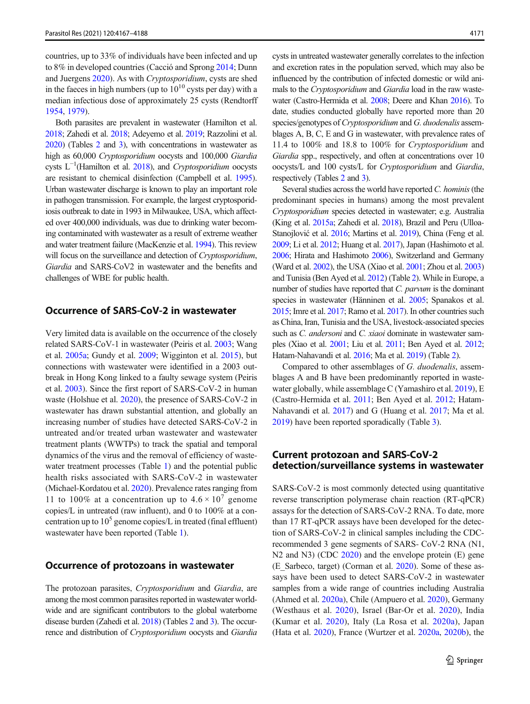countries, up to 33% of individuals have been infected and up to 8% in developed countries (Cacció and Sprong [2014;](#page-15-0) Dunn and Juergens [2020](#page-16-0)). As with Cryptosporidium, cysts are shed in the faeces in high numbers (up to  $10^{10}$  cysts per day) with a median infectious dose of approximately 25 cysts (Rendtorff [1954,](#page-19-0) [1979](#page-19-0)).

Both parasites are prevalent in wastewater (Hamilton et al. [2018;](#page-16-0) Zahedi et al. [2018](#page-20-0); Adeyemo et al. [2019;](#page-14-0) Razzolini et al. [2020\)](#page-19-0) (Tables [2](#page-5-0) and [3](#page-10-0)), with concentrations in wastewater as high as 60,000 Cryptosporidium oocysts and 100,000 Giardia cysts  $L^{-1}$ (Hamilton et al. [2018](#page-16-0)), and Cryptosporidium oocysts are resistant to chemical disinfection (Campbell et al. [1995\)](#page-15-0). Urban wastewater discharge is known to play an important role in pathogen transmission. For example, the largest cryptosporidiosis outbreak to date in 1993 in Milwaukee, USA, which affected over 400,000 individuals, was due to drinking water becoming contaminated with wastewater as a result of extreme weather and water treatment failure (MacKenzie et al. [1994\)](#page-18-0). This review will focus on the surveillance and detection of *Cryptosporidium*, Giardia and SARS-CoV2 in wastewater and the benefits and challenges of WBE for public health.

# Occurrence of SARS-CoV-2 in wastewater

Very limited data is available on the occurrence of the closely related SARS-CoV-1 in wastewater (Peiris et al. [2003;](#page-18-0) Wang et al. [2005a](#page-20-0); Gundy et al. [2009](#page-16-0); Wigginton et al. [2015\)](#page-20-0), but connections with wastewater were identified in a 2003 outbreak in Hong Kong linked to a faulty sewage system (Peiris et al. [2003\)](#page-18-0). Since the first report of SARS-CoV-2 in human waste (Holshue et al. [2020\)](#page-17-0), the presence of SARS-CoV-2 in wastewater has drawn substantial attention, and globally an increasing number of studies have detected SARS-CoV-2 in untreated and/or treated urban wastewater and wastewater treatment plants (WWTPs) to track the spatial and temporal dynamics of the virus and the removal of efficiency of waste-water treatment processes (Table [1\)](#page-2-0) and the potential public health risks associated with SARS-CoV-2 in wastewater (Michael-Kordatou et al. [2020](#page-18-0)). Prevalence rates ranging from 11 to 100% at a concentration up to  $4.6 \times 10^7$  genome copies/L in untreated (raw influent), and 0 to 100% at a concentration up to  $10^5$  genome copies/L in treated (final effluent) wastewater have been reported (Table [1](#page-2-0)).

## Occurrence of protozoans in wastewater

The protozoan parasites, Cryptosporidium and Giardia, are among the most common parasites reported in wastewater worldwide and are significant contributors to the global waterborne disease burden (Zahedi et al. [2018\)](#page-20-0) (Tables [2](#page-5-0) and [3\)](#page-10-0). The occurrence and distribution of Cryptosporidium oocysts and Giardia cysts in untreated wastewater generally correlates to the infection and excretion rates in the population served, which may also be influenced by the contribution of infected domestic or wild animals to the Cryptosporidium and Giardia load in the raw wastewater (Castro-Hermida et al. [2008](#page-15-0); Deere and Khan [2016](#page-16-0)). To date, studies conducted globally have reported more than 20 species/genotypes of Cryptosporidium and G. duodenalis assemblages A, B, C, E and G in wastewater, with prevalence rates of 11.4 to 100% and 18.8 to 100% for Cryptosporidium and Giardia spp., respectively, and often at concentrations over 10 oocysts/L and 100 cysts/L for Cryptosporidium and Giardia, respectively (Tables [2](#page-5-0) and [3](#page-10-0)).

Several studies across the world have reported  $C$ . *hominis* (the predominant species in humans) among the most prevalent Cryptosporidium species detected in wastewater; e.g. Australia (King et al. [2015a;](#page-17-0) Zahedi et al. [2018](#page-20-0)), Brazil and Peru (Ulloa-Stanojlović et al. [2016;](#page-20-0) Martins et al. [2019\)](#page-18-0), China (Feng et al. [2009;](#page-16-0) Li et al. [2012;](#page-18-0) Huang et al. [2017\)](#page-17-0), Japan (Hashimoto et al. [2006;](#page-17-0) Hirata and Hashimoto [2006\)](#page-17-0), Switzerland and Germany (Ward et al. [2002\)](#page-20-0), the USA (Xiao et al. [2001](#page-20-0); Zhou et al. [2003\)](#page-21-0) and Tunisia (Ben Ayed et al. [2012\)](#page-15-0) (Table [2\)](#page-5-0). While in Europe, a number of studies have reported that C. parvum is the dominant species in wastewater (Hänninen et al. [2005;](#page-17-0) Spanakos et al. [2015;](#page-19-0) Imre et al. [2017;](#page-17-0) Ramo et al. [2017\)](#page-19-0). In other countries such as China, Iran, Tunisia and the USA, livestock-associated species such as C. andersoni and C. xiaoi dominate in wastewater samples (Xiao et al. [2001;](#page-20-0) Liu et al. [2011;](#page-18-0) Ben Ayed et al. [2012;](#page-15-0) Hatam-Nahavandi et al. [2016](#page-17-0); Ma et al. [2019\)](#page-18-0) (Table [2\)](#page-5-0).

Compared to other assemblages of G. duodenalis, assemblages A and B have been predominantly reported in wastewater globally, while assemblage C (Yamashiro et al. [2019\)](#page-20-0), E (Castro-Hermida et al. [2011](#page-15-0); Ben Ayed et al. [2012](#page-15-0); Hatam-Nahavandi et al. [2017\)](#page-17-0) and G (Huang et al. [2017;](#page-17-0) Ma et al. [2019\)](#page-18-0) have been reported sporadically (Table [3\)](#page-10-0).

# Current protozoan and SARS-CoV-2 detection/surveillance systems in wastewater

SARS-CoV-2 is most commonly detected using quantitative reverse transcription polymerase chain reaction (RT-qPCR) assays for the detection of SARS-CoV-2 RNA. To date, more than 17 RT-qPCR assays have been developed for the detection of SARS-CoV-2 in clinical samples including the CDCrecommended 3 gene segments of SARS- CoV-2 RNA (N1, N2 and N3) (CDC [2020](#page-15-0)) and the envelope protein (E) gene (E\_Sarbeco, target) (Corman et al. [2020\)](#page-16-0). Some of these assays have been used to detect SARS-CoV-2 in wastewater samples from a wide range of countries including Australia (Ahmed et al. [2020a](#page-14-0)), Chile (Ampuero et al. [2020](#page-15-0)), Germany (Westhaus et al. [2020](#page-20-0)), Israel (Bar-Or et al. [2020\)](#page-15-0), India (Kumar et al. [2020\)](#page-17-0), Italy (La Rosa et al. [2020a](#page-17-0)), Japan (Hata et al. [2020](#page-17-0)), France (Wurtzer et al. [2020a,](#page-20-0) [2020b\)](#page-20-0), the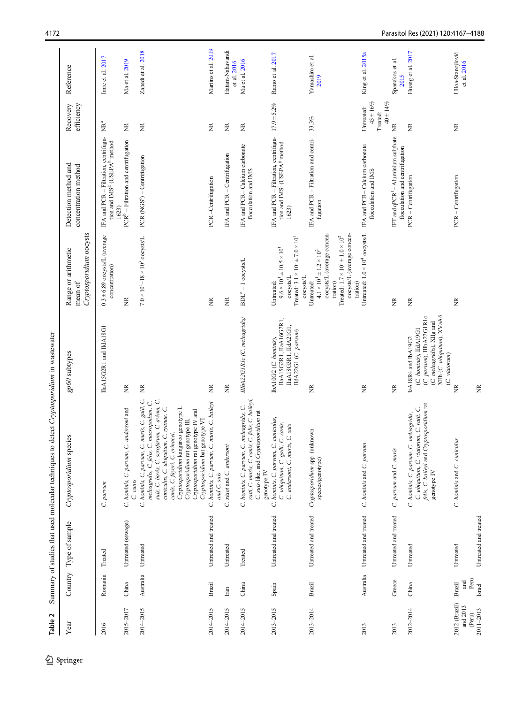<span id="page-5-0"></span>

| Table 2                                          |                                 |                                    | Summary of studies that used molecular techniques to detect Cryptosporidium in wastewater                                                                                                                                                                                                                                                                                  |                                                                                                                                                         |                                                                                                                                                                                             |                                                                                                        |                                                          |                                  |
|--------------------------------------------------|---------------------------------|------------------------------------|----------------------------------------------------------------------------------------------------------------------------------------------------------------------------------------------------------------------------------------------------------------------------------------------------------------------------------------------------------------------------|---------------------------------------------------------------------------------------------------------------------------------------------------------|---------------------------------------------------------------------------------------------------------------------------------------------------------------------------------------------|--------------------------------------------------------------------------------------------------------|----------------------------------------------------------|----------------------------------|
| Year                                             | Country                         | Type of sample                     | Cryptosporidium species                                                                                                                                                                                                                                                                                                                                                    | gp60 subtypes                                                                                                                                           | Cryptosporidium oocysts<br>Range or arithmetic<br>mean of                                                                                                                                   | Detection method and<br>concentration method                                                           | efficiency<br>Recovery                                   | Reference                        |
| 2016                                             | Romania                         | Treated                            | C. parvum                                                                                                                                                                                                                                                                                                                                                                  | IIaA15G2R1 and IIdA18G1                                                                                                                                 | $0.3 \pm 6.89$ oocysts/L (average<br>concentration)                                                                                                                                         | IFA and PCR - Filtration, centrifuga-<br>tion and IMS <sup>g</sup> (USEPA <sup>h</sup> method<br>1623) | $\tilde{\mathbb{E}}^a$                                   | Imre et al. 2017                 |
| 2015-2017                                        | China                           | Untreated (sewage)                 | C. hominis, C. parvum, C. andersoni and<br>C. canis                                                                                                                                                                                                                                                                                                                        | ž                                                                                                                                                       | ž                                                                                                                                                                                           | $PCRb$ – Filtration and centrifugation                                                                 | ž                                                        | Ma et al. 2019                   |
| 2014-2015                                        | Australia                       | Untreated                          | C. hominis, C, parvum, C. muris, C. galli, C.<br>suis, C. bovis, C. scrofarum, C. avium, C.<br>meleagridis, C. felis, C. macropodum, C.<br>Cryptosporidium kangaroo genotype I,<br>cuniculus, C. ubiquitum, C. ryanae, C.<br>Cryptosporidium rat genotype IV and<br>Cryptosporidium bat genotype VI<br>Cryptosporidium rat genotype III,<br>canis, C. fayeri, C. erinacei, | ž                                                                                                                                                       | $7.0 \times 10^{1}$ -18 × 10 <sup>3</sup> oocysts/L                                                                                                                                         | PCR (NGS <sup>c</sup> ) - Centrifugation                                                               | ž                                                        | Zahedi et al. 2018               |
| 2014-2015                                        | <b>Brazil</b>                   | Untreated and treated              | C. hominis, C. parvum, C. muris, C. baileyi<br>and C. suis                                                                                                                                                                                                                                                                                                                 | ž                                                                                                                                                       | $\widetilde{\Xi}$                                                                                                                                                                           | PCR-Centrifugation                                                                                     | ž                                                        | Martins et al. 2019              |
| 2014-2015                                        | Iran                            | Untreated                          | C. xiaoi and C. andersoni                                                                                                                                                                                                                                                                                                                                                  | $\widetilde{\Xi}$                                                                                                                                       | $\widetilde{\Xi}$                                                                                                                                                                           | IFA and PCR - Centrifugation                                                                           | $\widetilde{\Xi}$                                        | Hatam-Nahavandi<br>et al. 2016   |
| 2014-2015                                        | China                           | Treated                            | ratti, C. muris, C. canis, C. felis, C. baileyi,<br>C. hominis, C. parvum, C. meleagridis, C.<br>C. suis-like, and Cryptosporidium rat<br>genotype IV                                                                                                                                                                                                                      | IIIbA22GIRIc (C. meleagridis)                                                                                                                           | BDL <sup>e</sup> -1 oocysts/L                                                                                                                                                               | IFA and PCR-Calcium carbonate<br>flocculation and IMS                                                  | $\widetilde{\Xi}$                                        | Ma et al. 2016                   |
| 2013-2015                                        | Spain                           | Untreated and treated              | C. hominis, C. parvum, C. cuniculus,<br>C. ubiquitum, C. galli, C. canis,<br>C. suis<br>C. andersoni, C. muris,                                                                                                                                                                                                                                                            | IIaA15G2R1, IIaA16G2R1,<br>IIaA18G3R1, IIdA21G1,<br>IIdA22G1 (C. parvum)<br>IbA10G2 (C. hominis),                                                       | Treated: $3.1 \times 10^{1} \pm 7.0 \times 10^{1}$<br>$9.6 \times 10^{1} \pm 10.5 \times 10^{1}$<br>oocysts/L<br>oocysts/L<br>Untreated:                                                    | IFA and PCR - Filtration, centrifuga-<br>tion and IMS <sup>f</sup> (USEPA <sup>g</sup> method<br>1623) | $17.9 \pm 5.2\%$                                         | Ramo et al. 2017                 |
| $2013 - 2014$                                    | <b>Brazil</b>                   | Untreated and treated              | Cryptosporidium spp. (unknown<br>species/genotype)                                                                                                                                                                                                                                                                                                                         | ž                                                                                                                                                       | oocysts/L (average concen-<br>oocysts/L (average concen-<br>Treated: $1.7 \times 10^{1} \pm 1.0 \times 10^{2}$<br>$4.1\times10^{1}\pm1.2\times10^{2}$<br>tration)<br>tration)<br>Untreated: | IFA and PCR - Filtration and centri-<br>fugation                                                       | $33.3\%$                                                 | Yamashiro et al.<br>2019         |
| 2013                                             | Australia                       | Untreated and treated              | C. hominis and C. parvum                                                                                                                                                                                                                                                                                                                                                   | ž                                                                                                                                                       | Untreated: $1.0 \times 10^4$ oocysts/L                                                                                                                                                      | IFA and PCR-Calcium carbonate<br>flocculation and IMS                                                  | $45 \pm 16\%$<br>$40 \pm 14\%$<br>Untreated:<br>Treated: | King et al. 2015a                |
| 2013                                             | Greece                          | Untreated and treated              | C. parvum and C. muris                                                                                                                                                                                                                                                                                                                                                     | ž                                                                                                                                                       | $\widetilde{\Xi}$                                                                                                                                                                           | IFT and qPCR <sup>f</sup> - Aluminium sulphate<br>flocculation and centrifugation                      | ž                                                        | Spanakos et al.<br>2015          |
| $2012 - 2014$                                    | China                           | Untreated                          | felis, C. baileyi and Cryptosporidium rat<br>C. ubiquitum, C. viatorum, C. ratti, C.<br>C. hominis, C. parvum, C. meleagridis,<br>genotype IV                                                                                                                                                                                                                              | XIIh (C. ubiquitum), XVaA6<br>(C. parvum), IIIbA22G1R1c<br>(C. meleagridis), XIIg and<br>(C. hominis), IIdA19G1<br>IaA18R4 and IbA19G2<br>(C. viatorum) | $\widetilde{\Xi}$                                                                                                                                                                           | PCR - Centrifugation                                                                                   | ž                                                        | Huang et al. 2017                |
| 2012 (Brazil)<br>and 2013<br>2011-2013<br>(Peru) | Peru<br>and<br>Brazil<br>Israel | Untreated and treated<br>Untreated | C. hominis and C. cuniculus                                                                                                                                                                                                                                                                                                                                                | ž<br>ž                                                                                                                                                  | ž                                                                                                                                                                                           | PCR - Centrifugation                                                                                   | ž                                                        | Ulloa-Stanojlović<br>et al. 2016 |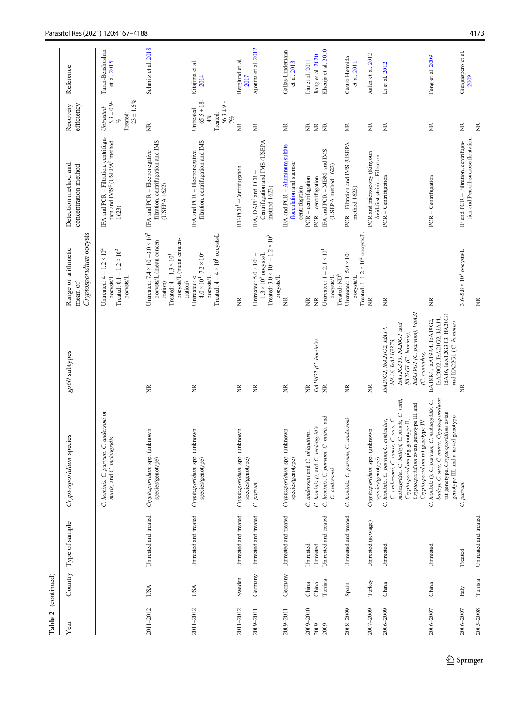| Table 2       | (continued) |                       |                                                                                                                                                                                      |                                                                                                                |                                                                                                                                                                    |                                                                                                       |                                                                      |                                 |
|---------------|-------------|-----------------------|--------------------------------------------------------------------------------------------------------------------------------------------------------------------------------------|----------------------------------------------------------------------------------------------------------------|--------------------------------------------------------------------------------------------------------------------------------------------------------------------|-------------------------------------------------------------------------------------------------------|----------------------------------------------------------------------|---------------------------------|
| ${\it Year}$  | Country     | Type of sample        | Cryptosporidium species                                                                                                                                                              | gp60 subtypes                                                                                                  | Cryptosporidium oocysts<br>Range or arithmetic<br>mean of                                                                                                          | Detection method and<br>concentration method                                                          | efficiency<br>Recovery                                               | Reference                       |
|               |             |                       | C. hominis, C. parvum, C. andersoni or<br>muris, and C. meleagridis                                                                                                                  |                                                                                                                | Untreated: $4 - 1.2 \times 10^2$<br>Treated: $0.1 - 1.2 \times 10^2$<br>oocysts/L<br>oocysts/L                                                                     | IFA and PCR - Filtration, centrifuga-<br>tion and IMS <sup>g</sup> (USEPA <sup>b</sup> method<br>1623 | $23 \pm 1.6\%$<br>$5.3 \pm 0.9$<br>Untreated:<br>Treated:<br>of      | Taran-Benshoshan<br>et al. 2015 |
| 2011-2012     | USA         | Untreated and treated | Cryptosporidium spp. (unknown<br>species/genotype)                                                                                                                                   | $\widetilde{\Xi}$                                                                                              | Untreated: $7.4 \times 10^{1} - 3.0 \times 10^{2}$<br>oocysts/L (mean concen-<br>oocysts/L (mean concen-<br>Treated: $4 - 1.3 \times 10^1$<br>tration)<br>tration) | filtration, centrifugation and IMS<br>IFA and PCR - Electronegative<br>(USEPA 1622)                   | $\widetilde{\Xi}$                                                    | Schmitz et al. 2018             |
| 2011-2012     | USA         | Untreated and treated | Cryptosporidium spp. (unknown<br>species/genotype)                                                                                                                                   | $\widetilde{\Xi}$                                                                                              | Treated: $4-4 \times 10^{1}$ oocysts/L<br>$4.0 \times 10^{1} - 7.2 \times 10^{2}$<br>Untreated: <<br><b>OOCYSIS/L</b>                                              | filtration, centrifugation and IMS<br>IFA and PCR - Electronegative                                   | $65.5 \pm 18$<br>$56.3 \pm 9.$<br>Untreated:<br>Treated:<br>4%<br>7% | Kitajima et al.<br>2014         |
| 2011-2012     | Sweden      | Untreated and treated | Cryptosporidium spp. (unknown<br>species/genotype)                                                                                                                                   | $\widetilde{\Xi}$                                                                                              | ž                                                                                                                                                                  | RT-PCR <sup>1</sup> -Centrifugation                                                                   | ž                                                                    | Berglund et al.<br>2017         |
| 2009-2011     | Germany     | Untreated and treated | C. parvum                                                                                                                                                                            | $\widetilde{\Xi}$                                                                                              | Treated: $3.0 \times 10^1 - 1.2 \times 10^3$<br>$1.3 \times 10^3$ oocysts/L<br>Untreated: $5.0 \times 10^1$<br>oocysts/L                                           | Centrifugation and IMS (USEPA<br>IFA, DAPI <sup>J</sup> and PCR<br>method 1623)                       | $\widetilde{\Xi}$                                                    | Ajonina et al. 2012             |
| 2009-2011     | Germany     | Untreated and treated | Cryptosporidium spp. (unknown<br>species/genotype)                                                                                                                                   | $\widetilde{\Xi}$                                                                                              | ž                                                                                                                                                                  | IFA and PCR - Aluminum sulfate<br>flocculation and sucrose<br>centrifugation                          | ž                                                                    | Gallas-Lindemann<br>et al. 2013 |
| 2009-2010     | China       | Untreated             | C. andersoni and C. ubiquitum,                                                                                                                                                       | ž                                                                                                              | $\widetilde{\Xi}$                                                                                                                                                  | PCR - centrifugation                                                                                  |                                                                      | Liu et al. 2011                 |
| 2009          | China       | Untreated             | C. hominis (), and C. meleagridis                                                                                                                                                    | IbA19G2 (C. hominis)                                                                                           | Ĕ                                                                                                                                                                  | $PCR - centrifugation$                                                                                | <b>NE</b>                                                            | Jiang et al. 2020               |
| 2009          | Tunisia     | Untreated and treated | C. hominis, C. parvum, C. muris, and<br>C. andersoni                                                                                                                                 | ž                                                                                                              | Untreated: $1 - 2.1 \times 10^{-1}$<br>Treated: ND <sup>k</sup><br>oocysts/L                                                                                       | IFA and PCR - MBM <sup>1</sup> and IMS<br>(USEPA method 1623)                                         | $\widetilde{\Xi}$                                                    | Khouja et al. 2010              |
| 2008-2009     | Spain       | Untreated and treated | C. hominis, C. parvum, C. andersoni                                                                                                                                                  | ž                                                                                                              | Treated: $1-1.2 \times 10^2$ oocysts/L<br>Untreated: $1-5.0 \times 10^{1}$<br>oocysts/L                                                                            | PCR - Filtration and IMS (USEPA<br>method 1623)                                                       | $\widetilde{\Xi}$                                                    | Castro-Hermida<br>et al. 2011   |
| 2007-2009     | Turkey      | Untreated (sewage)    | Cryptosporidium spp. (unknown                                                                                                                                                        | ž                                                                                                              | ž                                                                                                                                                                  | PCR and microscopy (Kinyoun<br>Acid-fast stain) - Filtration                                          | ž                                                                    | Aslan et al. 2012               |
| $2006 - 2009$ | China       | Untreated             | meleagridis, C. baileyi, C. muris, C. ratti,<br>C. andersoni, C. canis, C. suis, C.<br>Cryptosporidium pig genotype II,<br>C. hominis, C. parvum, C. cuniculus,<br>species/genotype) | IeA12G3T3, IfA20G1 and<br>IbA20G2, IbA21G2, IdA14,<br>IfA22G1 (C. hominis),<br>IdA16, IeA11G3T3,               | ž                                                                                                                                                                  | PCR - Centrifugation                                                                                  | ž                                                                    | Li et al. $2012$                |
|               |             |                       | Cryptosporidium avian genotype III and<br>Cryptosporidium rat genotype IV                                                                                                            | IIdA19G1 (C. parvum), VaA31<br>(C. cuniculus)                                                                  |                                                                                                                                                                    |                                                                                                       |                                                                      |                                 |
| 2006-2007     | China       | Untreated             | baileyi, C. suis, C. muris, Cryptosporidium<br>. C. meleagridis, C.<br>rat genotype, Cryptosporidium avian<br>genotype III, and a novel genotype<br>hominis (), C. parvum,<br>Ċ.     | IdA16, IeA12G3T3, IfA20G1<br>IbA20G2, IbA21G2, IdA14,<br>IaA18R4, IaA19R4, IbA19G2<br>and IfA22G1 (C. hominis) | ž                                                                                                                                                                  | PCR - Centrifugation                                                                                  | ž                                                                    | Feng et al. 2009                |
| 2006-2007     | Italy       | Treated               | parvm<br>C.                                                                                                                                                                          | ž                                                                                                              | $3.6 - 5.8 \times 10^3$ oocysts/L                                                                                                                                  | tion and Percoll-sucrose floatation<br>IF and PCR - Filtration, centrifuga-                           | $\widetilde{\Xi}$                                                    | Giangaspero et al.<br>2009      |
| $2005 - 2008$ | Tunisia     | Untreated and treated |                                                                                                                                                                                      |                                                                                                                | ž                                                                                                                                                                  |                                                                                                       | ž                                                                    |                                 |

2 Springer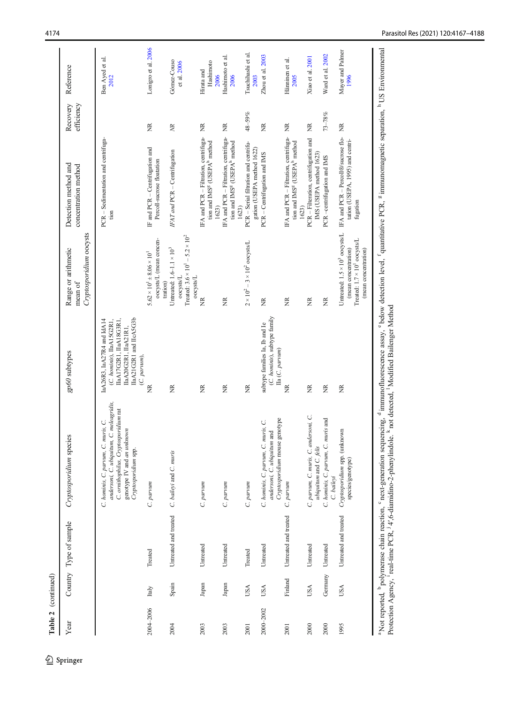| Table 2 (continued) |            |                        |                                                                                                                                                                                                                                                                                                                                                                                                                             |                                                                                                                                                        |                                                                                                                                  |                                                                                                        |                        |                                 |
|---------------------|------------|------------------------|-----------------------------------------------------------------------------------------------------------------------------------------------------------------------------------------------------------------------------------------------------------------------------------------------------------------------------------------------------------------------------------------------------------------------------|--------------------------------------------------------------------------------------------------------------------------------------------------------|----------------------------------------------------------------------------------------------------------------------------------|--------------------------------------------------------------------------------------------------------|------------------------|---------------------------------|
| Year                |            | Country Type of sample | Cryptosporidium species                                                                                                                                                                                                                                                                                                                                                                                                     | gp60 subtypes                                                                                                                                          | Cryptosporidium oocysts<br>Range or arithmetic<br>mean of                                                                        | Detection method and<br>concentration method                                                           | efficiency<br>Recovery | Reference                       |
|                     |            |                        | andersoni, C. ubiquitum, C. meleagridis,<br>C. ornithophilus, Cryptosporidium rat<br>C. hominis, C. parvum, C. muris, C.<br>genotype IV and an unknown<br>Cryptosporidium spp.                                                                                                                                                                                                                                              | IIaA21G2R1 and IIcA5G3b<br>IIaA17G2R1, IIaA18G3R1,<br>laA26R3, IaA27R4 and IdA14<br>(C. hominis), IIaA15G2R1,<br>IIaA20G2R1, IIaA21R1,<br>(C. parvum), |                                                                                                                                  | PCR - Sedimentation and centrifuga-<br>tion                                                            |                        | Ben Ayed et al.<br>2012         |
| 2004-2006           | Italy      | Treated                | C. parvum                                                                                                                                                                                                                                                                                                                                                                                                                   | ž                                                                                                                                                      | oocysts/L (mean concen-<br>$5.62 \times 10^{1} \pm 8.06 \times 10^{1}$<br>tration)                                               | IF and PCR - Centrifugation and<br>Percoll-sucrose floatation                                          | ž                      | Lonigro et al. 2006             |
| 2004                | Spain      | Untreated and treated  | C. baileyi and C. muris                                                                                                                                                                                                                                                                                                                                                                                                     | ž                                                                                                                                                      | Treated: $3.6 \times 10^{1} - 5.2 \times 10^{2}$<br>Untreated: $1.6-1.1 \times 10^3$<br>oocysts/L<br>oocysts/L                   | IFAT and PCR - Centrifugation                                                                          | $\mathbb{R}$           | Gómez-Couso<br>et al. 2006      |
| 2003                | Japan      | Untreated              | C. parvum                                                                                                                                                                                                                                                                                                                                                                                                                   | ž                                                                                                                                                      | ž                                                                                                                                | IFA and PCR - Filtration, centrifuga-<br>tion and IMS <sup>8</sup> (USEPA <sup>b</sup> method<br>1623) | ž                      | Hashimoto<br>Hirata and<br>2006 |
| 2003                | Japan      | Untreated              | C. parvum                                                                                                                                                                                                                                                                                                                                                                                                                   | ž                                                                                                                                                      | ž                                                                                                                                | IFA and PCR - Filtration, centrifuga-<br>tion and IMS <sup>g</sup> (USEPA <sup>h</sup> method<br>1623) | ž                      | Hashimoto et al.<br>2006        |
| 2001                | USA        | Treated                | C. parvum                                                                                                                                                                                                                                                                                                                                                                                                                   | ž                                                                                                                                                      | $2 \times 10^2 - 3 \times 10^2$ oocysts/L                                                                                        | PCR - Serial filtration and centrifu-<br>gation (USEPA method 1622)                                    | 48-59%                 | Tsuchihashi et al.<br>2003      |
| 2000-2002           | <b>USA</b> | Untreated              | Cryptosporidium mouse genotype<br>C. hominis, C. parvum, C. muris, C.<br>andersoni, C. ubiquitum and                                                                                                                                                                                                                                                                                                                        | (C. hominis), subtype family<br>subtype families Ia, Ib and Ie<br>Ila (C. parvum)                                                                      | ž                                                                                                                                | PCR - Centrifugation and IMS                                                                           | Ĕ                      | Zhou et al. 2003                |
| 2001                | Finland    | Untreated and treated  | C. parvum                                                                                                                                                                                                                                                                                                                                                                                                                   | ž                                                                                                                                                      | ž                                                                                                                                | IFA and PCR - Filtration, centrifuga-<br>tion and IMS <sup>g</sup> (USEPA <sup>b</sup> method<br>1623) | ž                      | Hänninen et al.<br>2005         |
| 2000                | <b>USA</b> | Untreated              | andersoni, C.<br>ubiquitum and C. felis<br>C. parvum, C. muris, C.                                                                                                                                                                                                                                                                                                                                                          | ž                                                                                                                                                      | ž                                                                                                                                | PCR - Filteration, centrifugation and<br>IMS (USEPA method 1623)                                       | ž                      | Xiao et al. 2001                |
| 2000                | Germany    | Untreated              | C. hominis, C. parvum, C. muris and<br>C. baileyi                                                                                                                                                                                                                                                                                                                                                                           | $\widetilde{\Xi}$                                                                                                                                      | $\widetilde{\Xi}$                                                                                                                | PCR-centrifugation and IMS                                                                             | $73\text{--}78\%$      | Ward et al. 2002                |
| 1995                | USA        | Untreated and treated  | Cryptosporidium spp. (unknown<br>species/genotype)                                                                                                                                                                                                                                                                                                                                                                          | ž                                                                                                                                                      | Untreated: $1.5 \times 10^3$ oocysts/L<br>Treated: $1.7 \times 10^{1}$ oocysts/L<br>(mean concentration)<br>(mean concentration) | IFA and PCR - Percoll®/sucrose flo-<br>tation (USEPA, 1995) and centri-<br>fugation                    | ž                      | Mayer and Palmer<br>1996        |
|                     |            |                        | a Not reported, <sup>b</sup> polymerase chain reaction, <sup>c</sup> next-generation sequencing, d immunofluorescence assay, c below detection level, <sup>f</sup> quantitative PCR, <sup>g</sup> immunomagnetic separation, <sup>h</sup> US Environmental<br>Protection Agency, <sup>1</sup> real-time PCR, <sup>1</sup> 4', 6-diamidino-2-phenylindole. <sup>k</sup> not detected, <sup>1</sup> Modified Bailenger Method |                                                                                                                                                        |                                                                                                                                  |                                                                                                        |                        |                                 |

 $\mathcal{L}$  Springer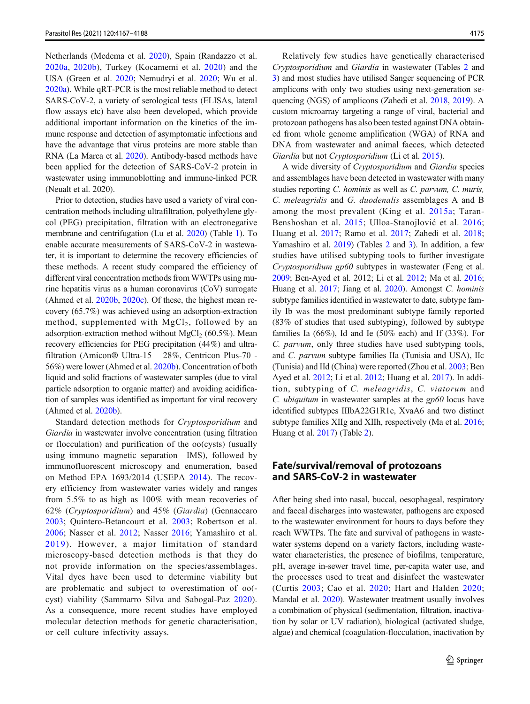Netherlands (Medema et al. [2020](#page-18-0)), Spain (Randazzo et al. [2020a](#page-19-0), [2020b\)](#page-19-0), Turkey (Kocamemi et al. [2020\)](#page-17-0) and the USA (Green et al. [2020;](#page-16-0) Nemudryi et al. [2020](#page-18-0); Wu et al. [2020a\)](#page-20-0). While qRT-PCR is the most reliable method to detect SARS-CoV-2, a variety of serological tests (ELISAs, lateral flow assays etc) have also been developed, which provide additional important information on the kinetics of the immune response and detection of asymptomatic infections and have the advantage that virus proteins are more stable than RNA (La Marca et al. [2020](#page-17-0)). Antibody-based methods have been applied for the detection of SARS-CoV-2 protein in wastewater using immunoblotting and immune-linked PCR (Neualt et al. 2020).

Prior to detection, studies have used a variety of viral concentration methods including ultrafiltration, polyethylene glycol (PEG) precipitation, filtration with an electronegative membrane and centrifugation (Lu et al. [2020\)](#page-18-0) (Table [1](#page-2-0)). To enable accurate measurements of SARS-CoV-2 in wastewater, it is important to determine the recovery efficiencies of these methods. A recent study compared the efficiency of different viral concentration methods from WWTPs using murine hepatitis virus as a human coronavirus (CoV) surrogate (Ahmed et al. [2020b,](#page-14-0) [2020c\)](#page-15-0). Of these, the highest mean recovery (65.7%) was achieved using an adsorption-extraction method, supplemented with  $MgCl<sub>2</sub>$ , followed by an adsorption-extraction method without  $MgCl<sub>2</sub>$  (60.5%). Mean recovery efficiencies for PEG precipitation (44%) and ultrafiltration (Amicon® Ultra-15 – 28%, Centricon Plus-70 - 56%) were lower (Ahmed et al. [2020b](#page-14-0)). Concentration of both liquid and solid fractions of wastewater samples (due to viral particle adsorption to organic matter) and avoiding acidification of samples was identified as important for viral recovery (Ahmed et al. [2020b\)](#page-14-0).

Standard detection methods for Cryptosporidium and Giardia in wastewater involve concentration (using filtration or flocculation) and purification of the oo(cysts) (usually using immuno magnetic separation—IMS), followed by immunofluorescent microscopy and enumeration, based on Method EPA 1693/2014 (USEPA [2014](#page-20-0)). The recovery efficiency from wastewater varies widely and ranges from 5.5% to as high as 100% with mean recoveries of 62% (Cryptosporidium) and 45% (Giardia) (Gennaccaro [2003](#page-16-0); Quintero-Betancourt et al. [2003;](#page-19-0) Robertson et al. [2006](#page-19-0); Nasser et al. [2012;](#page-18-0) Nasser [2016](#page-18-0); Yamashiro et al. [2019](#page-20-0)). However, a major limitation of standard microscopy-based detection methods is that they do not provide information on the species/assemblages. Vital dyes have been used to determine viability but are problematic and subject to overestimation of oo( cyst) viability (Sammarro Silva and Sabogal-Paz [2020](#page-19-0)). As a consequence, more recent studies have employed molecular detection methods for genetic characterisation, or cell culture infectivity assays.

Relatively few studies have genetically characterised Cryptosporidium and Giardia in wastewater (Tables [2](#page-5-0) and [3](#page-10-0)) and most studies have utilised Sanger sequencing of PCR amplicons with only two studies using next-generation sequencing (NGS) of amplicons (Zahedi et al. [2018](#page-20-0), [2019](#page-20-0)). A custom microarray targeting a range of viral, bacterial and protozoan pathogens has also been tested against DNA obtained from whole genome amplification (WGA) of RNA and DNA from wastewater and animal faeces, which detected Giardia but not Cryptosporidium (Li et al. [2015](#page-18-0)).

A wide diversity of Cryptosporidium and Giardia species and assemblages have been detected in wastewater with many studies reporting C. hominis as well as C. parvum, C. muris, C. meleagridis and G. duodenalis assemblages A and B among the most prevalent (King et al. [2015a;](#page-17-0) Taran-Benshoshan et al. [2015](#page-19-0); Ulloa-Stanojlović et al. [2016;](#page-20-0) Huang et al. [2017;](#page-17-0) Ramo et al. [2017](#page-19-0); Zahedi et al. [2018;](#page-20-0) Yamashiro et al. [2019\)](#page-20-0) (Tables [2](#page-5-0) and [3](#page-10-0)). In addition, a few studies have utilised subtyping tools to further investigate Cryptosporidium gp60 subtypes in wastewater (Feng et al. [2009;](#page-16-0) Ben-Ayed et al. 2012; Li et al. [2012](#page-18-0); Ma et al. [2016;](#page-18-0) Huang et al. [2017;](#page-17-0) Jiang et al. [2020](#page-17-0)). Amongst C. hominis subtype families identified in wastewater to date, subtype family Ib was the most predominant subtype family reported (83% of studies that used subtyping), followed by subtype families Ia (66%), Id and Ie (50% each) and If (33%). For C. parvum, only three studies have used subtyping tools, and C. parvum subtype families IIa (Tunisia and USA), IIc (Tunisia) and IId (China) were reported (Zhou et al. [2003;](#page-21-0) Ben Ayed et al. [2012](#page-15-0); Li et al. [2012;](#page-18-0) Huang et al. [2017](#page-17-0)). In addition, subtyping of C. meleagridis, C. viatorum and C. ubiquitum in wastewater samples at the gp60 locus have identified subtypes IIIbA22G1R1c, XvaA6 and two distinct subtype families XIIg and XIIh, respectively (Ma et al. [2016;](#page-18-0) Huang et al. [2017\)](#page-17-0) (Table [2](#page-5-0)).

# Fate/survival/removal of protozoans and SARS-CoV-2 in wastewater

After being shed into nasal, buccal, oesophageal, respiratory and faecal discharges into wastewater, pathogens are exposed to the wastewater environment for hours to days before they reach WWTPs. The fate and survival of pathogens in wastewater systems depend on a variety factors, including wastewater characteristics, the presence of biofilms, temperature, pH, average in-sewer travel time, per-capita water use, and the processes used to treat and disinfect the wastewater (Curtis [2003;](#page-16-0) Cao et al. [2020;](#page-15-0) Hart and Halden [2020;](#page-17-0) Mandal et al. [2020](#page-18-0)). Wastewater treatment usually involves a combination of physical (sedimentation, filtration, inactivation by solar or UV radiation), biological (activated sludge, algae) and chemical (coagulation-flocculation, inactivation by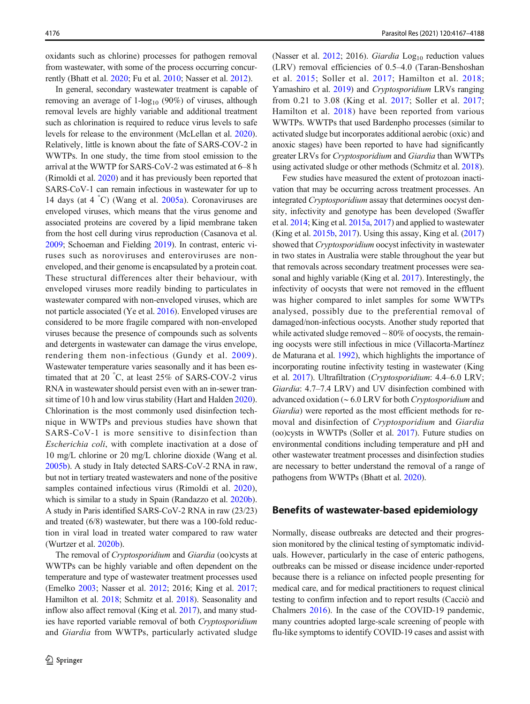oxidants such as chlorine) processes for pathogen removal from wastewater, with some of the process occurring concurrently (Bhatt et al. [2020;](#page-15-0) Fu et al. [2010](#page-16-0); Nasser et al. [2012\)](#page-18-0).

In general, secondary wastewater treatment is capable of removing an average of  $1$ -log<sub>10</sub> (90%) of viruses, although removal levels are highly variable and additional treatment such as chlorination is required to reduce virus levels to safe levels for release to the environment (McLellan et al. [2020\)](#page-18-0). Relatively, little is known about the fate of SARS-COV-2 in WWTPs. In one study, the time from stool emission to the arrival at the WWTP for SARS-CoV-2 was estimated at 6–8 h (Rimoldi et al. [2020\)](#page-19-0) and it has previously been reported that SARS-CoV-1 can remain infectious in wastewater for up to 14 days (at 4 ° C) (Wang et al. [2005a](#page-20-0)). Coronaviruses are enveloped viruses, which means that the virus genome and associated proteins are covered by a lipid membrane taken from the host cell during virus reproduction (Casanova et al. [2009;](#page-15-0) Schoeman and Fielding [2019\)](#page-19-0). In contrast, enteric viruses such as noroviruses and enteroviruses are nonenveloped, and their genome is encapsulated by a protein coat. These structural differences alter their behaviour, with enveloped viruses more readily binding to particulates in wastewater compared with non-enveloped viruses, which are not particle associated (Ye et al. [2016](#page-20-0)). Enveloped viruses are considered to be more fragile compared with non-enveloped viruses because the presence of compounds such as solvents and detergents in wastewater can damage the virus envelope, rendering them non-infectious (Gundy et al. [2009\)](#page-16-0). Wastewater temperature varies seasonally and it has been estimated that at 20 ° C, at least 25% of SARS-COV-2 virus RNA in wastewater should persist even with an in-sewer transit time of 10 h and low virus stability (Hart and Halden [2020\)](#page-17-0). Chlorination is the most commonly used disinfection technique in WWTPs and previous studies have shown that SARS-CoV-1 is more sensitive to disinfection than Escherichia coli, with complete inactivation at a dose of 10 mg/L chlorine or 20 mg/L chlorine dioxide (Wang et al. [2005b](#page-20-0)). A study in Italy detected SARS-CoV-2 RNA in raw, but not in tertiary treated wastewaters and none of the positive samples contained infectious virus (Rimoldi et al. [2020](#page-19-0)), which is similar to a study in Spain (Randazzo et al. [2020b\)](#page-19-0). A study in Paris identified SARS-CoV-2 RNA in raw (23/23) and treated (6/8) wastewater, but there was a 100-fold reduction in viral load in treated water compared to raw water (Wurtzer et al. [2020b](#page-20-0)).

The removal of Cryptosporidium and Giardia (oo)cysts at WWTPs can be highly variable and often dependent on the temperature and type of wastewater treatment processes used (Emelko [2003;](#page-16-0) Nasser et al. [2012;](#page-18-0) 2016; King et al. [2017](#page-17-0); Hamilton et al. [2018;](#page-16-0) Schmitz et al. [2018\)](#page-19-0). Seasonality and inflow also affect removal (King et al. [2017\)](#page-17-0), and many studies have reported variable removal of both Cryptosporidium and Giardia from WWTPs, particularly activated sludge (Nasser et al.  $2012$ ; 2016). Giardia Log<sub>10</sub> reduction values (LRV) removal efficiencies of 0.5–4.0 (Taran-Benshoshan et al. [2015;](#page-19-0) Soller et al. [2017;](#page-19-0) Hamilton et al. [2018;](#page-16-0) Yamashiro et al. [2019](#page-20-0)) and Cryptosporidium LRVs ranging from 0.21 to 3.08 (King et al. [2017](#page-17-0); Soller et al. [2017;](#page-19-0) Hamilton et al. [2018](#page-16-0)) have been reported from various WWTPs. WWTPs that used Bardenpho processes (similar to activated sludge but incorporates additional aerobic (oxic) and anoxic stages) have been reported to have had significantly greater LRVs for Cryptosporidium and Giardia than WWTPs using activated sludge or other methods (Schmitz et al. [2018\)](#page-19-0).

Few studies have measured the extent of protozoan inactivation that may be occurring across treatment processes. An integrated Cryptosporidium assay that determines oocyst density, infectivity and genotype has been developed (Swaffer et al. [2014;](#page-19-0) King et al. [2015a,](#page-17-0) [2017\)](#page-17-0) and applied to wastewater (King et al. [2015b](#page-17-0), [2017\)](#page-17-0). Using this assay, King et al. [\(2017\)](#page-17-0) showed that Cryptosporidium oocyst infectivity in wastewater in two states in Australia were stable throughout the year but that removals across secondary treatment processes were seasonal and highly variable (King et al. [2017](#page-17-0)). Interestingly, the infectivity of oocysts that were not removed in the effluent was higher compared to inlet samples for some WWTPs analysed, possibly due to the preferential removal of damaged/non-infectious oocysts. Another study reported that while activated sludge removed  $\sim 80\%$  of oocysts, the remaining oocysts were still infectious in mice (Villacorta-Martínez de Maturana et al. [1992](#page-20-0)), which highlights the importance of incorporating routine infectivity testing in wastewater (King et al. [2017\)](#page-17-0). Ultrafiltration (Cryptosporidium: 4.4–6.0 LRV; Giardia: 4.7–7.4 LRV) and UV disinfection combined with advanced oxidation (∼ 6.0 LRV for both Cryptosporidium and Giardia) were reported as the most efficient methods for removal and disinfection of Cryptosporidium and Giardia (oo)cysts in WWTPs (Soller et al. [2017\)](#page-19-0). Future studies on environmental conditions including temperature and pH and other wastewater treatment processes and disinfection studies are necessary to better understand the removal of a range of pathogens from WWTPs (Bhatt et al. [2020\)](#page-15-0).

## Benefits of wastewater-based epidemiology

Normally, disease outbreaks are detected and their progression monitored by the clinical testing of symptomatic individuals. However, particularly in the case of enteric pathogens, outbreaks can be missed or disease incidence under-reported because there is a reliance on infected people presenting for medical care, and for medical practitioners to request clinical testing to confirm infection and to report results (Cacciò and Chalmers [2016](#page-15-0)). In the case of the COVID-19 pandemic, many countries adopted large-scale screening of people with flu-like symptoms to identify COVID-19 cases and assist with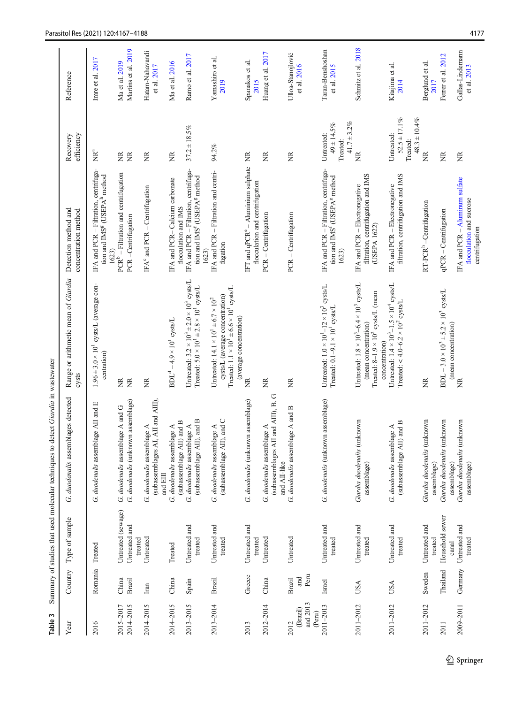<span id="page-10-0"></span>

| S<br>Table                             |                        |                                     | detect Giardia in wastewater<br>Summary of studies that used molecular techniques to |                                                                                                                                                                               |                                                                                                        |                                                                  |                                       |
|----------------------------------------|------------------------|-------------------------------------|--------------------------------------------------------------------------------------|-------------------------------------------------------------------------------------------------------------------------------------------------------------------------------|--------------------------------------------------------------------------------------------------------|------------------------------------------------------------------|---------------------------------------|
| Year                                   | Country                | Type of sample                      | G. duodenalis assemblages detected                                                   | Range or arithmetic mean of Giardia<br>cysts                                                                                                                                  | Detection method and<br>concentration method                                                           | efficiency<br>Recovery                                           | Reference                             |
| 2016                                   | Romania                | Treated                             | G. duodenalis assemblage AII and E                                                   | $1.96 \pm 3.0 \times 10^{1}$ cysts/L (average con-<br>centration)                                                                                                             | IFA and PCR - Filtration, centrifuga-<br>tion and IMS <sup>g</sup> (USEPA <sup>b</sup> method<br>1623) | lang<br>⊵                                                        | Imre et al. 2017                      |
| 2014-2015<br>2015-2017                 | China<br><b>Brazil</b> | Untreated (sewage)<br>Untreated and | G. duodenalis (unknown assemblage)<br>G. duodenalis assemblage A and G               | $\widetilde{\Xi}$<br>ž                                                                                                                                                        | $PCRb$ – Filtration and centrifugation<br>PCR-Centrifugation                                           | Ĕ<br>$\widetilde{\Xi}$                                           | Martins et al. 2019<br>Ma et al. 2019 |
| 2014-2015                              | Iran                   | Untreated<br>treated                | (subassemblages AI, AII and AIII),<br>G. duodenalis assemblage A<br>and EIII         | Ž                                                                                                                                                                             | IFA $^{\circ}$ and PCR – Centrifugation                                                                | Ĕ                                                                | Hatam-Nahavandi<br>et al. 2017        |
| 2014-2015                              | China                  | Treated                             | (subassemblage AII) and B<br>G. duodenalis assemblage A                              | $BDLd - 4.9 \times 101$ cysts/L                                                                                                                                               | IFA and PCR-Calcium carbonate<br>flocculation and IMS                                                  | ã                                                                | Ma et al. 2016                        |
| 2013-2015                              | Spain                  | Untreated and<br>treated            | (subassemblage AII), and B<br>G. duodenalis assemblage A                             | Untreated: $3.2 \times 10^3 \pm 2.0 \times 10^3$ cysts/L<br>Treated: $5.0 \times 10^1 \pm 2.8 \times 10^1$ cysts/L                                                            | IFA and PCR - Filtration, centrifuga-<br>tion and IMS <sup>f</sup> (USEPA <sup>g</sup> method<br>1623) | $37.2 \pm 18.5\%$                                                | Ramo et al. 2017                      |
| 2013-2014                              | <b>Brazil</b>          | Untreated and<br>treated            | (subassemblage AII), and C<br>G. duodenalis assemblage A                             | Treated: $1.1 \times 10^1 \pm 6.6 \times 10^1$ cysts/L<br>cysts/L (average concentration)<br>Untreated: $14.1 \times 10^{1} \pm 6.7 \times 10^{2}$<br>(average concentration) | IFA and PCR - Filtration and centri-<br>fugation                                                       | 94.2%                                                            | Yamashiro et al.<br>2019              |
| 2013                                   | Greece                 | Untreated and<br>treated            | G. duodenalis (unknown assemblage)                                                   | ž                                                                                                                                                                             | IFT and $qPCR^e -$ Aluminium sulphate<br>flocculation and centrifugation                               | Ž                                                                | Spanakos et al.<br>2015               |
| 2012-2014                              | China                  | Untreated                           | Ф<br>(subassemblages AII and AIII), B,<br>G. duodenalis assemblage A<br>and AII-like | Ž                                                                                                                                                                             | PCR - Centrifugation                                                                                   | ž                                                                | Huang et al. 2017                     |
| and 2013<br>(Brazil)<br>(Peru)<br>2012 | Peru<br>and<br>Brazil  | Untreated                           | G. duodenalis assemblage A and B                                                     | ž                                                                                                                                                                             | PCR - Centrifugation                                                                                   | ž                                                                | Ulloa-Stanojlović<br>et al. 2016      |
| 2011-2013                              | Israel                 | Untreated and<br>treated            | G. duodenalis (unknown assemblage)                                                   | Untreated: $1.0 \times 10^{1} - 12 \times 10^{3}$ cysts/L<br>Treated: $0.1 - 9.1 \times 10^{1}$ cysts/L                                                                       | IFA and PCR - Filtration, centrifuga-<br>tion and IMS <sup>f</sup> (USEPA <sup>g</sup> method<br>1623) | $41.7 + 3.2\%$<br>$49 \pm 14.5\%$<br>Untreated:<br>Treated:      | Taran-Benshoshan<br>et al. 2015       |
| 2011-2012                              | USA                    | Untreated and<br>treated            | Giardia duodenalis (unknown<br>assemblage)                                           | Untreated: $1.8 \times 10^3 - 6.4 \times 10^3$ cysts/L<br>Treated: $8-1.9 \times 10^2$ cysts/L (mean<br>(mean concentration)<br>concentration)                                | filtration, centrifugation and IMS<br>IFA and PCR - Electronegative<br>(USEPA 1622)                    | Ĕ                                                                | Schmitz et al. 2018                   |
| 2011-2012                              | USA                    | Untreated and<br>treated            | (subassemblage AII) and B<br>G. duodenalis assemblage A                              | Untreated: $1.4 \times 10^3 - 1.5 \times 10^4$ cysts/L<br>Treated: < 4.0-6.2 $\times$ 10 <sup>2</sup> cysts/L                                                                 | filtration, centrifugation and IMS<br>IFA and PCR - Electronegative                                    | $52.5 \pm 17.1\%$<br>$48.3 \pm 10.4\%$<br>Untreated:<br>Treated: | Kitajima et al.<br>2014               |
| 2011-2012                              | Sweden                 | Untreated and<br>treated            | Giardia duodenalis (unknown<br>assemblage)                                           | Ž                                                                                                                                                                             | RT-PCR <sup>h</sup> -Centrifugation                                                                    | Ĕ                                                                | Berglund et al.<br>2017               |
| 2011                                   | Thailand               | Household sewer<br>canal            | Giardia duodenalis (unknown<br>assemblage)                                           | BDL – 3.0 × 10 <sup>3</sup> ± 5.2 × 10 <sup>3</sup> cysts/L<br>(mean concentration)                                                                                           | qPCR - Centrifugation                                                                                  | Ž                                                                | Ferrer et al. 2012                    |
| 2009-2011                              | Germany                | Untreated and<br>treated            | Giardia duodenalis (unknown<br>assemblage)                                           | Ĕ                                                                                                                                                                             | IFA and $PCR - Aluninum$ sulfate<br>flocculation and sucrose<br>centrifugation                         | Ĕ                                                                | Gallas-Lindemann<br>et al. 2013       |

 $\mathcal{D}$  Springer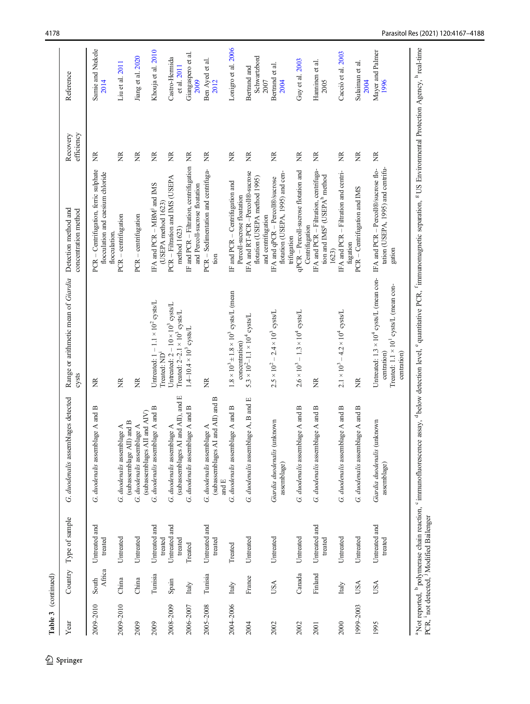| Year      |                 | Country Type of sample                                          | G. duodenalis assemblages detected                                                                                                                                                                                                                       | Range or arithmetic mean of Giardia<br>cysts                                                                                       | Detection method and<br>concentration method                                                                         | efficiency<br>Recovery | Reference                            |
|-----------|-----------------|-----------------------------------------------------------------|----------------------------------------------------------------------------------------------------------------------------------------------------------------------------------------------------------------------------------------------------------|------------------------------------------------------------------------------------------------------------------------------------|----------------------------------------------------------------------------------------------------------------------|------------------------|--------------------------------------|
| 2009-2010 | Africa<br>South | Untreated and<br>treated                                        | G. duodenalis assemblage A and B                                                                                                                                                                                                                         | Ž                                                                                                                                  | PCR - Centrifugation, ferric sulphate<br>flocculation and caesium chloride<br>flocculation.                          | Ĕ                      | Samie and Ntekele<br>2014            |
| 2009-2010 | China           | Untreated                                                       | (subassemblage AII) and B<br>G. duodenalis assemblage A                                                                                                                                                                                                  | Ĕ                                                                                                                                  | PCR - centrifugation                                                                                                 | g                      | Liu et al. 2011                      |
| 2009      | China           | Untreated                                                       | (subassemblages AII and AIV)<br>G. duodenalis assemblage A                                                                                                                                                                                               | Ž                                                                                                                                  | PCR - centrifugation                                                                                                 | Ž                      | Jiang et al. 2020                    |
| 2009      | Tunisia         | Untreated and<br>treated                                        | G. duodenalis assemblage A and B                                                                                                                                                                                                                         | Untreated: $1 - 1.1 \times 10^2$ cysts/L<br>Treated: ND <sup>1</sup>                                                               | IFA and PCR - MBM and IMS<br>(USEPA method 1623)                                                                     | ž                      | Khouja et al. 2010                   |
| 2008-2009 | Spain           | Untreated and<br>treated                                        | (subassemblages AI and AII), and E<br>G. duodenalis assemblage A                                                                                                                                                                                         | Untreated: $2 - 10 \times 10^3$ cysts/L<br>Treated: $2-2.1 \times 10^3$ cysts/L                                                    | PCR - Filtration and IMS (USEPA<br>method 1623)                                                                      | Ĕ                      | Castro-Hermida<br>et al. 2011        |
| 2006-2007 | Italy           | Treated                                                         | G. duodenalis assemblage A and B                                                                                                                                                                                                                         | $1.4 - 10.4 \times 103$ cysts/L                                                                                                    | IF and PCR - Filtration, centrifugation<br>and Percoll-sucrose floatation                                            | Ž                      | Giangaspero et al.<br>2009           |
| 2005-2008 | Tunisia         | Untreated and<br>treated                                        | (subassemblages AI and AII) and B<br>G. duodenalis assemblage A<br>and $\mathbb E$                                                                                                                                                                       | Ĕ                                                                                                                                  | PCR - Sedimentation and centrifuga-<br>tion                                                                          | Z                      | Ben Ayed et al.<br>2012              |
| 2004-2006 | Italy           | Treated                                                         | G. duodenalis assemblage A and B                                                                                                                                                                                                                         | $1.8 \times 10^3 \pm 1.8 \times 10^3$ cysts/L (mean                                                                                | IF and PCR – Centrifugation and                                                                                      | ž                      | Lonigro et al. 2006                  |
| 2004      | France          | Untreated                                                       | blage A, B and E<br>G. duodenalis assem                                                                                                                                                                                                                  | $5.3 \times 10^2 - 1.1 \times 10^4$ cysts/L<br>concentration)                                                                      | IFA and RT-PCR-Percoll®-sucrose<br>flotation (USEPA method 1995)<br>Percoll-sucrose floatation<br>and centrifugation | ž                      | Schwartzbord<br>Bertrand and<br>2007 |
| 2002      | USA             | Untreated                                                       | Giardia duodenalis (unknown<br>assemblage)                                                                                                                                                                                                               | $2.5 \times 10^2 - 2.4 \times 10^3$ cysts/L                                                                                        | flotation (USEPA, 1995) and cen-<br>IFA and qPCR - Percoll®/sucrose                                                  | Ž                      | Bertrand et al.<br>2004              |
| 2002      | Canada          | Untreated                                                       | G. duodenalis assemblage A and B                                                                                                                                                                                                                         | $2.6 \times 10^3 - 1.3 \times 10^4$ cysts/L                                                                                        | qPCR - Percoll-sucrose flotation and<br>Centrifugation<br>trifugation                                                | ž                      | Guy et al. 2003                      |
| 2001      | Finland         | Untreated and<br>treated                                        | G. duodenalis assemblage A and B                                                                                                                                                                                                                         | Ž                                                                                                                                  | IFA and PCR - Filtration, centrifuga-<br>tion and IMS <sup>g</sup> (USEPA <sup>h</sup> method<br>1623)               | ž                      | Hanninen et al.<br>2005              |
| 2000      | Italy           | Untreated                                                       | G. duodenalis assemblage A and B                                                                                                                                                                                                                         | $2.1 \times 10^3 - 4.2 \times 10^4$ cysts/L                                                                                        | IFA and PCR – Filtration and centri-<br>fugation                                                                     | ž                      | Cacciò et al. 2003                   |
| 1999-2003 | USA             | Untreated                                                       | G. duodenalis assemblage A and B                                                                                                                                                                                                                         | Ĕ                                                                                                                                  | PCR - Centrifugation and IMS                                                                                         | Ĕ                      | Sulaiman et al.<br>2004              |
| 1995      | <b>USA</b>      | Untreated and<br>treated                                        | Giardia duodenalis (unknown<br>assemblage)                                                                                                                                                                                                               | Untreated: $1.3 \times 10^4$ cysts/L (mean con-<br>Treated: 1.1 × 10 <sup>1</sup> cysts/L (mean con-<br>centration)<br>centration) | IFA and PCR - Percoll®/sucrose flo-<br>tation (USEPA, 1995) and centrifu<br>gation                                   | ž                      | Mayer and Palmer<br>1996             |
|           |                 | PCR, <sup>i</sup> not detected, <sup>j</sup> Modified Bailenger | <sup>a</sup> Not reported, <sup>b</sup> polymerase chain reaction, 'immunofluorescence assay, dbelow detection level, 'quantitative PCR, <sup>f</sup> immunomagnetic separation, <sup>g</sup> US Environmental Protection Agency, <sup>h</sup> real-time |                                                                                                                                    |                                                                                                                      |                        |                                      |

Table 3 (continued) Table 3 (continued)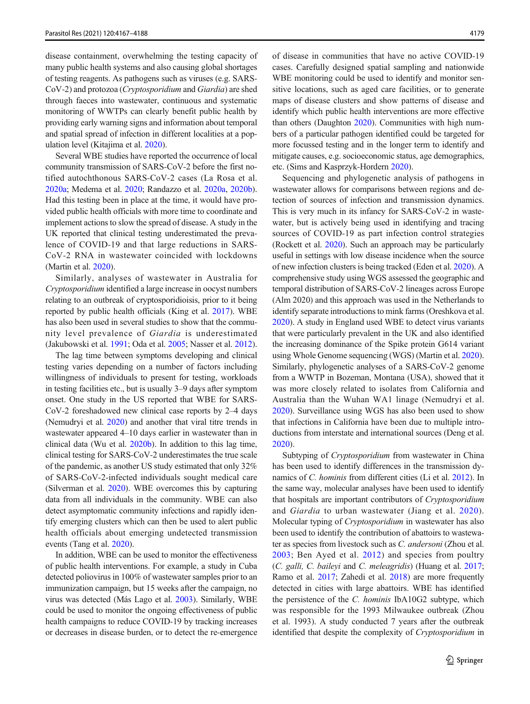disease containment, overwhelming the testing capacity of many public health systems and also causing global shortages of testing reagents. As pathogens such as viruses (e.g. SARS-CoV-2) and protozoa (Cryptosporidium and Giardia) are shed through faeces into wastewater, continuous and systematic monitoring of WWTPs can clearly benefit public health by providing early warning signs and information about temporal and spatial spread of infection in different localities at a population level (Kitajima et al. [2020](#page-17-0)).

Several WBE studies have reported the occurrence of local community transmission of SARS-CoV-2 before the first notified autochthonous SARS-CoV-2 cases (La Rosa et al. [2020a;](#page-17-0) Medema et al. [2020;](#page-18-0) Randazzo et al. [2020a](#page-19-0), [2020b\)](#page-19-0). Had this testing been in place at the time, it would have provided public health officials with more time to coordinate and implement actions to slow the spread of disease. A study in the UK reported that clinical testing underestimated the prevalence of COVID-19 and that large reductions in SARS-CoV-2 RNA in wastewater coincided with lockdowns (Martin et al. [2020](#page-18-0)).

Similarly, analyses of wastewater in Australia for Cryptosporidium identified a large increase in oocyst numbers relating to an outbreak of cryptosporidioisis, prior to it being reported by public health officials (King et al. [2017](#page-17-0)). WBE has also been used in several studies to show that the community level prevalence of Giardia is underestimated (Jakubowski et al. [1991;](#page-17-0) Oda et al. [2005;](#page-18-0) Nasser et al. [2012\)](#page-18-0).

The lag time between symptoms developing and clinical testing varies depending on a number of factors including willingness of individuals to present for testing, workloads in testing facilities etc., but is usually 3–9 days after symptom onset. One study in the US reported that WBE for SARS-CoV-2 foreshadowed new clinical case reports by 2–4 days (Nemudryi et al. [2020\)](#page-18-0) and another that viral titre trends in wastewater appeared 4–10 days earlier in wastewater than in clinical data (Wu et al. [2020b](#page-20-0)). In addition to this lag time, clinical testing for SARS-CoV-2 underestimates the true scale of the pandemic, as another US study estimated that only 32% of SARS-CoV-2-infected individuals sought medical care (Silverman et al. [2020\)](#page-19-0). WBE overcomes this by capturing data from all individuals in the community. WBE can also detect asymptomatic community infections and rapidly identify emerging clusters which can then be used to alert public health officials about emerging undetected transmission events (Tang et al. [2020](#page-19-0)).

In addition, WBE can be used to monitor the effectiveness of public health interventions. For example, a study in Cuba detected poliovirus in 100% of wastewater samples prior to an immunization campaign, but 15 weeks after the campaign, no virus was detected (Más Lago et al. [2003\)](#page-18-0). Similarly, WBE could be used to monitor the ongoing effectiveness of public health campaigns to reduce COVID-19 by tracking increases or decreases in disease burden, or to detect the re-emergence of disease in communities that have no active COVID-19 cases. Carefully designed spatial sampling and nationwide WBE monitoring could be used to identify and monitor sensitive locations, such as aged care facilities, or to generate maps of disease clusters and show patterns of disease and identify which public health interventions are more effective than others (Daughton [2020\)](#page-16-0). Communities with high numbers of a particular pathogen identified could be targeted for more focussed testing and in the longer term to identify and mitigate causes, e.g. socioeconomic status, age demographics, etc. (Sims and Kasprzyk-Hordern [2020](#page-19-0)).

Sequencing and phylogenetic analysis of pathogens in wastewater allows for comparisons between regions and detection of sources of infection and transmission dynamics. This is very much in its infancy for SARS-CoV-2 in wastewater, but is actively being used in identifying and tracing sources of COVID-19 as part infection control strategies (Rockett et al. [2020\)](#page-19-0). Such an approach may be particularly useful in settings with low disease incidence when the source of new infection clusters is being tracked (Eden et al. [2020\)](#page-16-0). A comprehensive study using WGS assessed the geographic and temporal distribution of SARS-CoV-2 lineages across Europe (Alm 2020) and this approach was used in the Netherlands to identify separate introductions to mink farms (Oreshkova et al. [2020\)](#page-18-0). A study in England used WBE to detect virus variants that were particularly prevalent in the UK and also identified the increasing dominance of the Spike protein G614 variant using Whole Genome sequencing (WGS) (Martin et al. [2020\)](#page-18-0). Similarly, phylogenetic analyses of a SARS-CoV-2 genome from a WWTP in Bozeman, Montana (USA), showed that it was more closely related to isolates from California and Australia than the Wuhan WA1 linage (Nemudryi et al. [2020\)](#page-18-0). Surveillance using WGS has also been used to show that infections in California have been due to multiple introductions from interstate and international sources (Deng et al. [2020\)](#page-16-0).

Subtyping of Cryptosporidium from wastewater in China has been used to identify differences in the transmission dynamics of C. hominis from different cities (Li et al. [2012\)](#page-18-0). In the same way, molecular analyses have been used to identify that hospitals are important contributors of Cryptosporidium and Giardia to urban wastewater (Jiang et al. [2020](#page-17-0)). Molecular typing of Cryptosporidium in wastewater has also been used to identify the contribution of abattoirs to wastewater as species from livestock such as C. andersoni (Zhou et al. [2003](#page-21-0); Ben Ayed et al. [2012\)](#page-15-0) and species from poultry (C. galli, C. baileyi and C. meleagridis) (Huang et al. [2017;](#page-17-0) Ramo et al. [2017;](#page-19-0) Zahedi et al. [2018\)](#page-20-0) are more frequently detected in cities with large abattoirs. WBE has identified the persistence of the C. hominis IbA10G2 subtype, which was responsible for the 1993 Milwaukee outbreak (Zhou et al. 1993). A study conducted 7 years after the outbreak identified that despite the complexity of Cryptosporidium in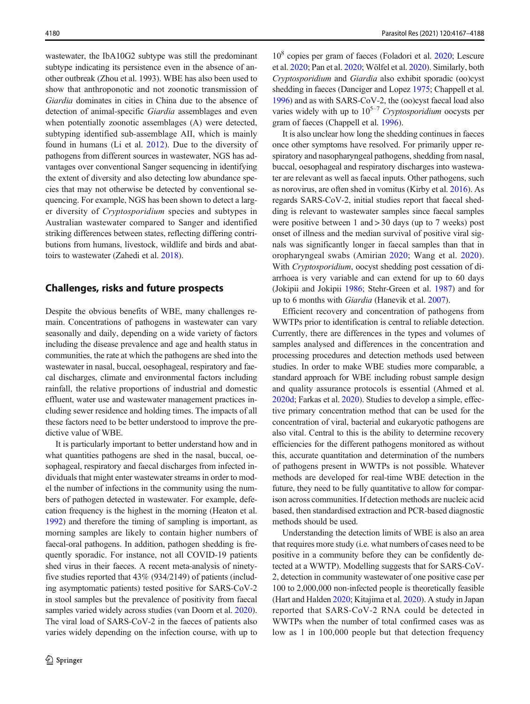wastewater, the IbA10G2 subtype was still the predominant subtype indicating its persistence even in the absence of another outbreak (Zhou et al. 1993). WBE has also been used to show that anthroponotic and not zoonotic transmission of Giardia dominates in cities in China due to the absence of detection of animal-specific Giardia assemblages and even when potentially zoonotic assemblages (A) were detected, subtyping identified sub-assemblage AII, which is mainly found in humans (Li et al. [2012\)](#page-18-0). Due to the diversity of pathogens from different sources in wastewater, NGS has advantages over conventional Sanger sequencing in identifying the extent of diversity and also detecting low abundance species that may not otherwise be detected by conventional sequencing. For example, NGS has been shown to detect a larger diversity of Cryptosporidium species and subtypes in Australian wastewater compared to Sanger and identified striking differences between states, reflecting differing contributions from humans, livestock, wildlife and birds and abattoirs to wastewater (Zahedi et al. [2018\)](#page-20-0).

## Challenges, risks and future prospects

Despite the obvious benefits of WBE, many challenges remain. Concentrations of pathogens in wastewater can vary seasonally and daily, depending on a wide variety of factors including the disease prevalence and age and health status in communities, the rate at which the pathogens are shed into the wastewater in nasal, buccal, oesophageal, respiratory and faecal discharges, climate and environmental factors including rainfall, the relative proportions of industrial and domestic effluent, water use and wastewater management practices including sewer residence and holding times. The impacts of all these factors need to be better understood to improve the predictive value of WBE.

It is particularly important to better understand how and in what quantities pathogens are shed in the nasal, buccal, oesophageal, respiratory and faecal discharges from infected individuals that might enter wastewater streams in order to model the number of infections in the community using the numbers of pathogen detected in wastewater. For example, defecation frequency is the highest in the morning (Heaton et al. [1992\)](#page-17-0) and therefore the timing of sampling is important, as morning samples are likely to contain higher numbers of faecal-oral pathogens. In addition, pathogen shedding is frequently sporadic. For instance, not all COVID-19 patients shed virus in their faeces. A recent meta-analysis of ninetyfive studies reported that 43% (934/2149) of patients (including asymptomatic patients) tested positive for SARS-CoV-2 in stool samples but the prevalence of positivity from faecal samples varied widely across studies (van Doorn et al. [2020\)](#page-20-0). The viral load of SARS-CoV-2 in the faeces of patients also varies widely depending on the infection course, with up to

108 copies per gram of faeces (Foladori et al. [2020;](#page-16-0) Lescure et al. [2020;](#page-17-0) Pan et al. [2020](#page-18-0); Wölfel et al. [2020](#page-20-0)). Similarly, both Cryptosporidium and Giardia also exhibit sporadic (oo)cyst shedding in faeces (Danciger and Lopez [1975](#page-16-0); Chappell et al. [1996\)](#page-15-0) and as with SARS-CoV-2, the (oo)cyst faecal load also varies widely with up to  $10^{5-7}$  Cryptosporidium oocysts per gram of faeces (Chappell et al. [1996\)](#page-15-0).

It is also unclear how long the shedding continues in faeces once other symptoms have resolved. For primarily upper respiratory and nasopharyngeal pathogens, shedding from nasal, buccal, oesophageal and respiratory discharges into wastewater are relevant as well as faecal inputs. Other pathogens, such as norovirus, are often shed in vomitus (Kirby et al. [2016\)](#page-17-0). As regards SARS-CoV-2, initial studies report that faecal shedding is relevant to wastewater samples since faecal samples were positive between 1 and > 30 days (up to 7 weeks) post onset of illness and the median survival of positive viral signals was significantly longer in faecal samples than that in oropharyngeal swabs (Amirian [2020](#page-15-0); Wang et al. [2020](#page-20-0)). With Cryptosporidium, oocyst shedding post cessation of diarrhoea is very variable and can extend for up to 60 days (Jokipii and Jokipii [1986](#page-17-0); Stehr-Green et al. [1987](#page-19-0)) and for up to 6 months with Giardia (Hanevik et al. [2007\)](#page-17-0).

Efficient recovery and concentration of pathogens from WWTPs prior to identification is central to reliable detection. Currently, there are differences in the types and volumes of samples analysed and differences in the concentration and processing procedures and detection methods used between studies. In order to make WBE studies more comparable, a standard approach for WBE including robust sample design and quality assurance protocols is essential (Ahmed et al. [2020d;](#page-15-0) Farkas et al. [2020\)](#page-16-0). Studies to develop a simple, effective primary concentration method that can be used for the concentration of viral, bacterial and eukaryotic pathogens are also vital. Central to this is the ability to determine recovery efficiencies for the different pathogens monitored as without this, accurate quantitation and determination of the numbers of pathogens present in WWTPs is not possible. Whatever methods are developed for real-time WBE detection in the future, they need to be fully quantitative to allow for comparison across communities. If detection methods are nucleic acid based, then standardised extraction and PCR-based diagnostic methods should be used.

Understanding the detection limits of WBE is also an area that requires more study (i.e. what numbers of cases need to be positive in a community before they can be confidently detected at a WWTP). Modelling suggests that for SARS-CoV-2, detection in community wastewater of one positive case per 100 to 2,000,000 non-infected people is theoretically feasible (Hart and Halden [2020;](#page-17-0) Kitajima et al. [2020](#page-17-0)). A study in Japan reported that SARS-CoV-2 RNA could be detected in WWTPs when the number of total confirmed cases was as low as 1 in 100,000 people but that detection frequency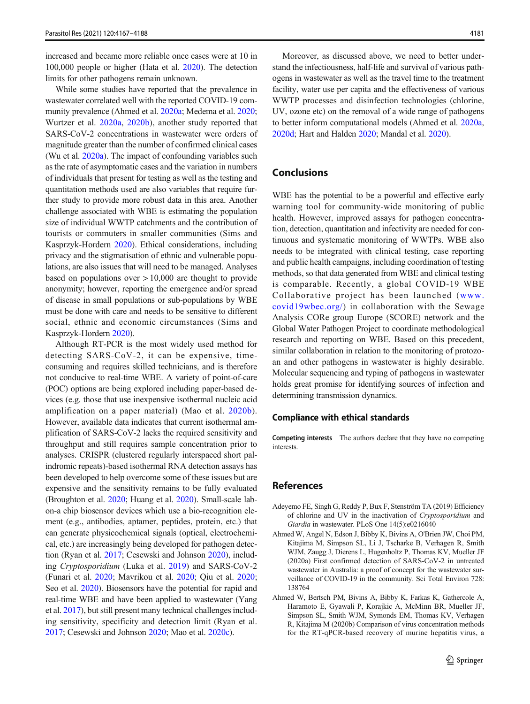<span id="page-14-0"></span>increased and became more reliable once cases were at 10 in 100,000 people or higher (Hata et al. [2020](#page-17-0)). The detection limits for other pathogens remain unknown.

While some studies have reported that the prevalence in wastewater correlated well with the reported COVID-19 community prevalence (Ahmed et al. 2020a; Medema et al. [2020](#page-18-0); Wurtzer et al. [2020a,](#page-20-0) [2020b](#page-20-0)), another study reported that SARS-CoV-2 concentrations in wastewater were orders of magnitude greater than the number of confirmed clinical cases (Wu et al. [2020a](#page-20-0)). The impact of confounding variables such as the rate of asymptomatic cases and the variation in numbers of individuals that present for testing as well as the testing and quantitation methods used are also variables that require further study to provide more robust data in this area. Another challenge associated with WBE is estimating the population size of individual WWTP catchments and the contribution of tourists or commuters in smaller communities (Sims and Kasprzyk-Hordern [2020](#page-19-0)). Ethical considerations, including privacy and the stigmatisation of ethnic and vulnerable populations, are also issues that will need to be managed. Analyses based on populations over  $> 10,000$  are thought to provide anonymity; however, reporting the emergence and/or spread of disease in small populations or sub-populations by WBE must be done with care and needs to be sensitive to different social, ethnic and economic circumstances (Sims and Kasprzyk-Hordern [2020\)](#page-19-0).

Although RT-PCR is the most widely used method for detecting SARS-CoV-2, it can be expensive, timeconsuming and requires skilled technicians, and is therefore not conducive to real-time WBE. A variety of point-of-care (POC) options are being explored including paper-based devices (e.g. those that use inexpensive isothermal nucleic acid amplification on a paper material) (Mao et al. [2020b](#page-18-0)). However, available data indicates that current isothermal amplification of SARS-CoV-2 lacks the required sensitivity and throughput and still requires sample concentration prior to analyses. CRISPR (clustered regularly interspaced short palindromic repeats)-based isothermal RNA detection assays has been developed to help overcome some of these issues but are expensive and the sensitivity remains to be fully evaluated (Broughton et al. [2020;](#page-15-0) Huang et al. [2020\)](#page-17-0). Small-scale labon-a chip biosensor devices which use a bio-recognition element (e.g., antibodies, aptamer, peptides, protein, etc.) that can generate physicochemical signals (optical, electrochemical, etc.) are increasingly being developed for pathogen detection (Ryan et al. [2017;](#page-19-0) Cesewski and Johnson [2020](#page-15-0)), including Cryptosporidium (Luka et al. [2019](#page-18-0)) and SARS-CoV-2 (Funari et al. [2020;](#page-16-0) Mavrikou et al. [2020](#page-18-0); Qiu et al. [2020](#page-19-0); Seo et al. [2020\)](#page-19-0). Biosensors have the potential for rapid and real-time WBE and have been applied to wastewater (Yang et al. [2017\)](#page-20-0), but still present many technical challenges including sensitivity, specificity and detection limit (Ryan et al. [2017;](#page-19-0) Cesewski and Johnson [2020;](#page-15-0) Mao et al. [2020c\)](#page-18-0).

Moreover, as discussed above, we need to better understand the infectiousness, half-life and survival of various pathogens in wastewater as well as the travel time to the treatment facility, water use per capita and the effectiveness of various WWTP processes and disinfection technologies (chlorine, UV, ozone etc) on the removal of a wide range of pathogens to better inform computational models (Ahmed et al. 2020a, [2020d;](#page-15-0) Hart and Halden [2020;](#page-17-0) Mandal et al. [2020](#page-18-0)).

## Conclusions

WBE has the potential to be a powerful and effective early warning tool for community-wide monitoring of public health. However, improved assays for pathogen concentration, detection, quantitation and infectivity are needed for continuous and systematic monitoring of WWTPs. WBE also needs to be integrated with clinical testing, case reporting and public health campaigns, including coordination of testing methods, so that data generated from WBE and clinical testing is comparable. Recently, a global COVID-19 WBE Collaborative project has been launched ([www.](http://www.covid19wbec.org/) [covid19wbec.org/](http://www.covid19wbec.org/)) in collaboration with the Sewage Analysis CORe group Europe (SCORE) network and the Global Water Pathogen Project to coordinate methodological research and reporting on WBE. Based on this precedent, similar collaboration in relation to the monitoring of protozoan and other pathogens in wastewater is highly desirable. Molecular sequencing and typing of pathogens in wastewater holds great promise for identifying sources of infection and determining transmission dynamics.

#### Compliance with ethical standards

Competing interests The authors declare that they have no competing interests.

#### References

- Adeyemo FE, Singh G, Reddy P, Bux F, Stenström TA (2019) Efficiency of chlorine and UV in the inactivation of Cryptosporidium and Giardia in wastewater. PLoS One 14(5):e0216040
- Ahmed W, Angel N, Edson J, Bibby K, Bivins A, O'Brien JW, Choi PM, Kitajima M, Simpson SL, Li J, Tscharke B, Verhagen R, Smith WJM, Zaugg J, Dierens L, Hugenholtz P, Thomas KV, Mueller JF (2020a) First confirmed detection of SARS-CoV-2 in untreated wastewater in Australia: a proof of concept for the wastewater surveillance of COVID-19 in the community. Sci Total Environ 728: 138764
- Ahmed W, Bertsch PM, Bivins A, Bibby K, Farkas K, Gathercole A, Haramoto E, Gyawali P, Korajkic A, McMinn BR, Mueller JF, Simpson SL, Smith WJM, Symonds EM, Thomas KV, Verhagen R, Kitajima M (2020b) Comparison of virus concentration methods for the RT-qPCR-based recovery of murine hepatitis virus, a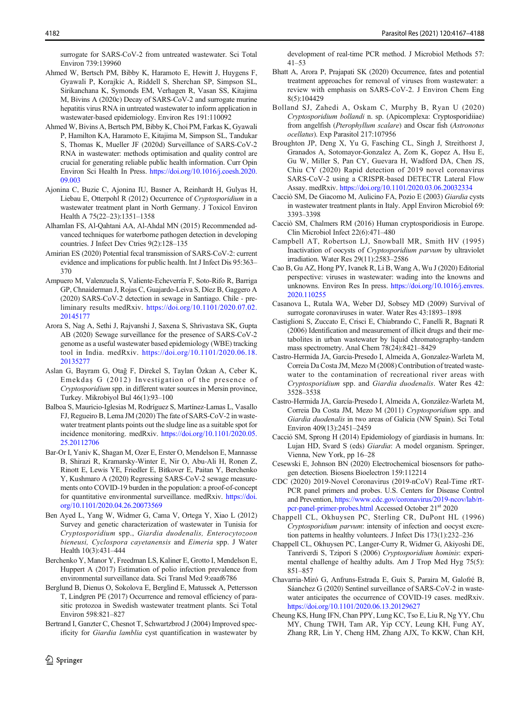<span id="page-15-0"></span>surrogate for SARS-CoV-2 from untreated wastewater. Sci Total Environ 739:139960

- Ahmed W, Bertsch PM, Bibby K, Haramoto E, Hewitt J, Huygens F, Gyawali P, Korajkic A, Riddell S, Sherchan SP, Simpson SL, Sirikanchana K, Symonds EM, Verhagen R, Vasan SS, Kitajima M, Bivins A (2020c) Decay of SARS-CoV-2 and surrogate murine hepatitis virus RNA in untreated wastewater to inform application in wastewater-based epidemiology. Environ Res 191:110092
- Ahmed W, Bivins A, Bertsch PM, Bibby K, Choi PM, Farkas K, Gyawali P, Hamilton KA, Haramoto E, Kitajima M, Simpson SL, Tandukar S, Thomas K, Mueller JF (2020d) Surveillance of SARS-CoV-2 RNA in wastewater: methods optimisation and quality control are crucial for generating reliable public health information. Curr Opin Environ Sci Health In Press. [https://doi.org/10.1016/j.coesh.2020.](https://doi.org/10.1016/j.coesh.2020.09.003) [09.003](https://doi.org/10.1016/j.coesh.2020.09.003)
- Ajonina C, Buzie C, Ajonina IU, Basner A, Reinhardt H, Gulyas H, Liebau E, Otterpohl R (2012) Occurrence of Cryptosporidium in a wastewater treatment plant in North Germany. J Toxicol Environ Health A 75(22–23):1351–1358
- Alhamlan FS, Al-Qahtani AA, Al-Ahdal MN (2015) Recommended advanced techniques for waterborne pathogen detection in developing countries. J Infect Dev Ctries 9(2):128–135
- Amirian ES (2020) Potential fecal transmission of SARS-CoV-2: current evidence and implications for public health. Int J Infect Dis 95:363– 370
- Ampuero M, Valenzuela S, Valiente-Echeverría F, Soto-Rifo R, Barriga GP, Chnaiderman J, Rojas C, Guajardo-Leiva S, Díez B, Gaggero A (2020) SARS-CoV-2 detection in sewage in Santiago. Chile - preliminary results medRxiv. [https://doi.org/10.1101/2020.07.02.](https://doi.org/10.1101/2020.07.02.20145177) [20145177](https://doi.org/10.1101/2020.07.02.20145177)
- Arora S, Nag A, Sethi J, Rajvanshi J, Saxena S, Shrivastava SK, Gupta AB (2020) Sewage surveillance for the presence of SARS-CoV-2 genome as a useful wastewater based epidemiology (WBE) tracking tool in India. medRxiv. [https://doi.org/10.1101/2020.06.18.](https://doi.org/10.1101/2020.06.18.20135277) [20135277](https://doi.org/10.1101/2020.06.18.20135277)
- Aslan G, Bayram G, Otağ F, Direkel S, Taylan Özkan A, Ceber K, Emekdaş G (2012) Investigation of the presence of Cryptosporidium spp. in different water sources in Mersin province, Turkey. Mikrobiyol Bul 46(1):93–100
- Balboa S, Mauricio-Iglesias M, Rodríguez S, Martínez-Lamas L, Vasallo FJ, Regueiro B, Lema JM (2020) The fate of SARS-CoV-2 in wastewater treatment plants points out the sludge line as a suitable spot for incidence monitoring. medRxiv. [https://doi.org/10.1101/2020.05.](https://doi.org/10.1101/2020.05.25.20112706) [25.20112706](https://doi.org/10.1101/2020.05.25.20112706)
- Bar-Or I, Yaniv K, Shagan M, Ozer E, Erster O, Mendelson E, Mannasse B, Shirazi R, Kramarsky-Winter E, Nir O, Abu-Ali H, Ronen Z, Rinott E, Lewis YE, Friedler E, Bitkover E, Paitan Y, Berchenko Y, Kushmaro A (2020) Regressing SARS-CoV-2 sewage measurements onto COVID-19 burden in the population: a proof-of-concept for quantitative environmental surveillance. medRxiv. [https://doi.](https://doi.org/10.1101/2020.04.26.20073569) [org/10.1101/2020.04.26.20073569](https://doi.org/10.1101/2020.04.26.20073569)
- Ben Ayed L, Yang W, Widmer G, Cama V, Ortega Y, Xiao L (2012) Survey and genetic characterization of wastewater in Tunisia for Cryptosporidium spp., Giardia duodenalis, Enterocytozoon bieneusi, Cyclospora cayetanensis and Eimeria spp. J Water Health 10(3):431–444
- Berchenko Y, Manor Y, Freedman LS, Kaliner E, Grotto I, Mendelson E, Huppert A (2017) Estimation of polio infection prevalence from environmental surveillance data. Sci Transl Med 9:eaaf6786
- Berglund B, Dienus O, Sokolova E, Berglind E, Matussek A, Pettersson T, Lindgren PE (2017) Occurrence and removal efficiency of parasitic protozoa in Swedish wastewater treatment plants. Sci Total Environ 598:821–827
- Bertrand I, Ganzter C, Chesnot T, Schwartzbrod J (2004) Improved specificity for Giardia lamblia cyst quantification in wastewater by

 $\mathcal{Q}$  Springer

development of real-time PCR method. J Microbiol Methods 57: 41–53

- Bhatt A, Arora P, Prajapati SK (2020) Occurrence, fates and potential treatment approaches for removal of viruses from wastewater: a review with emphasis on SARS-CoV-2. J Environ Chem Eng 8(5):104429
- Bolland SJ, Zahedi A, Oskam C, Murphy B, Ryan U (2020) Cryptosporidium bollandi n. sp. (Apicomplexa: Cryptosporidiiae) from angelfish (Pterophyllum scalare) and Oscar fish (Astronotus ocellatus). Exp Parasitol 217:107956
- Broughton JP, Deng X, Yu G, Fasching CL, Singh J, Streithorst J, Granados A, Sotomayor-Gonzalez A, Zorn K, Gopez A, Hsu E, Gu W, Miller S, Pan CY, Guevara H, Wadford DA, Chen JS, Chiu CY (2020) Rapid detection of 2019 novel coronavirus SARS-CoV-2 using a CRISPR-based DETECTR Lateral Flow Assay. medRxiv. <https://doi.org/10.1101/2020.03.06.20032334>
- Cacciò SM, De Giacomo M, Aulicino FA, Pozio E (2003) Giardia cysts in wastewater treatment plants in Italy. Appl Environ Microbiol 69: 3393–3398
- Cacciò SM, Chalmers RM (2016) Human cryptosporidiosis in Europe. Clin Microbiol Infect 22(6):471–480
- Campbell AT, Robertson LJ, Snowball MR, Smith HV (1995) Inactivation of oocysts of Cryptosporidium parvum by ultraviolet irradiation. Water Res 29(11):2583–2586
- Cao B, Gu AZ, Hong PY, Ivanek R, Li B, Wang A, Wu J (2020) Editorial perspective: viruses in wastewater: wading into the knowns and unknowns. Environ Res In press. [https://doi.org/10.1016/j.envres.](https://doi.org/10.1016/j.envres.2020.110255) [2020.110255](https://doi.org/10.1016/j.envres.2020.110255)
- Casanova L, Rutala WA, Weber DJ, Sobsey MD (2009) Survival of surrogate coronaviruses in water. Water Res 43:1893–1898
- Castiglioni S, Zuccato E, Crisci E, Chiabrando C, Fanelli R, Bagnati R (2006) Identification and measurement of illicit drugs and their metabolites in urban wastewater by liquid chromatography-tandem mass spectrometry. Anal Chem 78(24):8421–8429
- Castro-Hermida JA, Garcia-Presedo I, Almeida A, Gonzalez-Warleta M, Correia Da Costa JM, Mezo M (2008) Contribution of treated wastewater to the contamination of recreational river areas with Cryptosporidium spp. and Giardia duodenalis. Water Res 42: 3528–3538
- Castro-Hermida JA, García-Presedo I, Almeida A, González-Warleta M, Correia Da Costa JM, Mezo M (2011) Cryptosporidium spp. and Giardia duodenalis in two areas of Galicia (NW Spain). Sci Total Environ 409(13):2451–2459
- Cacció SM, Sprong H (2014) Epidemiology of giardiasis in humans. In: Lujan HD, Svard S (eds) Giardia: A model organism. Springer, Vienna, New York, pp 16–28
- Cesewski E, Johnson BN (2020) Electrochemical biosensors for pathogen detection. Biosens Bioelectron 159:112214
- CDC (2020) 2019-Novel Coronavirus (2019-nCoV) Real-Time rRT-PCR panel primers and probes. U.S. Centers for Disease Control and Prevention, [https://www.cdc.gov/coronavirus/2019-ncov/lab/rt](https://www.cdc.gov/coronavirus/2019-ncov/lab/rt-pcr-panel-primer-probes.html)[pcr-panel-primer-probes.html](https://www.cdc.gov/coronavirus/2019-ncov/lab/rt-pcr-panel-primer-probes.html) Accessed October 21<sup>st</sup> 2020
- Chappell CL, Okhuysen PC, Sterling CR, DuPont HL (1996) Cryptosporidium parvum: intensity of infection and oocyst excretion patterns in healthy volunteers. J Infect Dis 173(1):232–236
- Chappell CL, Okhuysen PC, Langer-Curry R, Widmer G, Akiyoshi DE, Tanriverdi S, Tzipori S (2006) Cryptosporidium hominis: experimental challenge of healthy adults. Am J Trop Med Hyg 75(5): 851–857
- Chavarria-Miró G, Anfruns-Estrada E, Guix S, Paraira M, Galofré B, Sáanchez G (2020) Sentinel surveillance of SARS-CoV-2 in wastewater anticipates the occurrence of COVID-19 cases. medRxiv. <https://doi.org/10.1101/2020.06.13.20129627>
- Cheung KS, Hung IFN, Chan PPY, Lung KC, Tso E, Liu R, Ng YY, Chu MY, Chung TWH, Tam AR, Yip CCY, Leung KH, Fung AY, Zhang RR, Lin Y, Cheng HM, Zhang AJX, To KKW, Chan KH,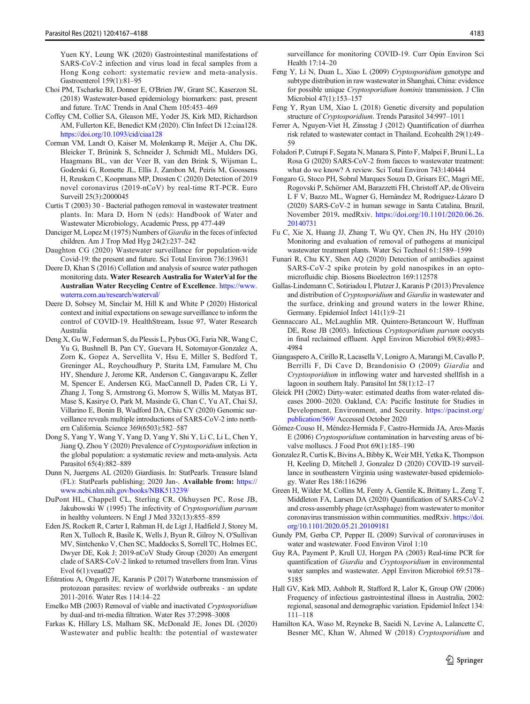<span id="page-16-0"></span>Yuen KY, Leung WK (2020) Gastrointestinal manifestations of SARS-CoV-2 infection and virus load in fecal samples from a Hong Kong cohort: systematic review and meta-analysis. Gastroenterol 159(1):81–95

- Choi PM, Tscharke BJ, Donner E, O'Brien JW, Grant SC, Kaserzon SL (2018) Wastewater-based epidemiology biomarkers: past, present and future. TrAC Trends in Anal Chem 105:453–469
- Coffey CM, Collier SA, Gleason ME, Yoder JS, Kirk MD, Richardson AM, Fullerton KE, Benedict KM (2020). Clin Infect Di 12:ciaa128. <https://doi.org/10.1093/cid/ciaa128>
- Corman VM, Landt O, Kaiser M, Molenkamp R, Meijer A, Chu DK, Bleicker T, Brünink S, Schneider J, Schmidt ML, Mulders DG, Haagmans BL, van der Veer B, van den Brink S, Wijsman L, Goderski G, Romette JL, Ellis J, Zambon M, Peiris M, Goossens H, Reusken C, Koopmans MP, Drosten C (2020) Detection of 2019 novel coronavirus (2019-nCoV) by real-time RT-PCR. Euro Surveill 25(3):2000045
- Curtis T (2003) 30 Bacterial pathogen removal in wastewater treatment plants. In: Mara D, Horn N (eds): Handbook of Water and Wastewater Microbiology, Academic Press, pp 477-449
- Danciger M, Lopez M (1975) Numbers of Giardia in the feces of infected children. Am J Trop Med Hyg 24(2):237–242
- Daughton CG (2020) Wastewater surveillance for population-wide Covid-19: the present and future. Sci Total Environ 736:139631
- Deere D, Khan S (2016) Collation and analysis of source water pathogen monitoring data. Water Research Australia for WaterVal for the Australian Water Recycling Centre of Excellence. [https://www.](https://www.waterra.com.au/research/waterval/) [waterra.com.au/research/waterval/](https://www.waterra.com.au/research/waterval/)
- Deere D, Sobsey M, Sinclair M, Hill K and White P (2020) Historical context and initial expectations on sewage surveillance to inform the control of COVID-19. HealthStream, Issue 97, Water Research Australia
- Deng X, Gu W, Federman S, du Plessis L, Pybus OG, Faria NR, Wang C, Yu G, Bushnell B, Pan CY, Guevara H, Sotomayor-Gonzalez A, Zorn K, Gopez A, Servellita V, Hsu E, Miller S, Bedford T, Greninger AL, Roychoudhury P, Starita LM, Famulare M, Chu HY, Shendure J, Jerome KR, Anderson C, Gangavarapu K, Zeller M, Spencer E, Andersen KG, MacCannell D, Paden CR, Li Y, Zhang J, Tong S, Armstrong G, Morrow S, Willis M, Matyas BT, Mase S, Kasirye O, Park M, Masinde G, Chan C, Yu AT, Chai SJ, Villarino E, Bonin B, Wadford DA, Chiu CY (2020) Genomic surveillance reveals multiple introductions of SARS-CoV-2 into northern California. Science 369(6503):582–587
- Dong S, Yang Y, Wang Y, Yang D, Yang Y, Shi Y, Li C, Li L, Chen Y, Jiang Q, Zhou Y (2020) Prevalence of Cryptosporidium infection in the global population: a systematic review and meta-analysis. Acta Parasitol 65(4):882–889
- Dunn N, Juergens AL (2020) Giardiasis. In: StatPearls. Treasure Island (FL): StatPearls publishing; 2020 Jan-. Available from: [https://](https://www.ncbi.nlm.nih.gov/books/NBK513239/) [www.ncbi.nlm.nih.gov/books/NBK513239/](https://www.ncbi.nlm.nih.gov/books/NBK513239/)
- DuPont HL, Chappell CL, Sterling CR, Okhuysen PC, Rose JB, Jakubowski W (1995) The infectivity of Cryptosporidium parvum in healthy volunteers. N Engl J Med 332(13):855–859
- Eden JS, Rockett R, Carter I, Rahman H, de Ligt J, Hadfield J, Storey M, Ren X, Tulloch R, Basile K, Wells J, Byun R, Gilroy N, O'Sullivan MV, Sintchenko V, Chen SC, Maddocks S, Sorrell TC, Holmes EC, Dwyer DE, Kok J; 2019-nCoV Study Group (2020) An emergent clade of SARS-CoV-2 linked to returned travellers from Iran. Virus Evol 6(1):veaa027
- Efstratiou A, Ongerth JE, Karanis P (2017) Waterborne transmission of protozoan parasites: review of worldwide outbreaks - an update 2011-2016. Water Res 114:14–22
- Emelko MB (2003) Removal of viable and inactivated Cryptosporidium by dual-and tri-media filtration. Water Res 37:2998–3008
- Farkas K, Hillary LS, Malham SK, McDonald JE, Jones DL (2020) Wastewater and public health: the potential of wastewater

surveillance for monitoring COVID-19. Curr Opin Environ Sci Health 17:14–20

- Feng Y, Li N, Duan L, Xiao L (2009) Cryptosporidium genotype and subtype distribution in raw wastewater in Shanghai, China: evidence for possible unique Cryptosporidium hominis transmission. J Clin Microbiol 47(1):153–157
- Feng Y, Ryan UM, Xiao L (2018) Genetic diversity and population structure of Cryptosporidium. Trends Parasitol 34:997–1011
- Ferrer A, Nguyen-Viet H, Zinsstag J (2012) Quantification of diarrhea risk related to wastewater contact in Thailand. Ecohealth 29(1):49– 59
- Foladori P, Cutrupi F, Segata N, Manara S, Pinto F, Malpei F, Bruni L, La Rosa G (2020) SARS-CoV-2 from faeces to wastewater treatment: what do we know? A review. Sci Total Environ 743:140444
- Fongaro G, Stoco PH, Sobral Marques Souza D, Grisars EC, Magri ME, Rogovski P, Schörner AM, Barazzetti FH, Christoff AP, de Oliveira L F V, Bazzo ML, Wagner G, Hernández M, Rodriguez-Lázaro D (2020) SARS-CoV-2 in human sewage in Santa Catalina, Brazil, November 2019. medRxiv. [https://doi.org/10.1101/2020.06.26.](https://doi.org/10.1101/2020.06.26.20140731) [20140731](https://doi.org/10.1101/2020.06.26.20140731)
- Fu C, Xie X, Huang JJ, Zhang T, Wu QY, Chen JN, Hu HY (2010) Monitoring and evaluation of removal of pathogens at municipal wastewater treatment plants. Water Sci Technol 61:1589–1599
- Funari R, Chu KY, Shen AQ (2020) Detection of antibodies against SARS-CoV-2 spike protein by gold nanospikes in an optomicrofluidic chip. Biosens Bioelectron 169:112578
- Gallas-Lindemann C, Sotiriadou I, Plutzer J, Karanis P (2013) Prevalence and distribution of Cryptosporidium and Giardia in wastewater and the surface, drinking and ground waters in the lower Rhine, Germany. Epidemiol Infect 141(1):9–21
- Gennaccaro AL, McLaughlin MR. Quintero-Betancourt W, Huffman DE, Rose JB (2003). Infectious Cryptosporidium parvum oocysts in final reclaimed effluent. Appl Environ Microbiol 69(8):4983– 4984
- Giangaspero A, Cirillo R, Lacasella V, Lonigro A, Marangi M, Cavallo P, Berrilli F, Di Cave D, Brandonisio O (2009) Giardia and Cryptosporidium in inflowing water and harvested shellfish in a lagoon in southern Italy. Parasitol Int 58(1):12–17
- Gleick PH (2002) Dirty-water: estimated deaths from water-related diseases 2000–2020. Oakland, CA: Pacific Institute for Studies in Development, Environment, and Security. [https://pacinst.org/](https://pacinst.org/publication/569/) [publication/569/](https://pacinst.org/publication/569/) Accessed October 2020
- Gómez-Couso H, Méndez-Hermida F, Castro-Hermida JA, Ares-Mazás E (2006) Cryptosporidium contamination in harvesting areas of bivalve molluscs. J Food Prot 69(1):185-190
- Gonzalez R, Curtis K, Bivins A, Bibby K, Weir MH, Yetka K, Thompson H, Keeling D, Mitchell J, Gonzalez D (2020) COVID-19 surveillance in southeastern Virginia using wastewater-based epidemiology. Water Res 186:116296
- Green H, Wilder M, Collins M, Fenty A, Gentile K, Brittany L, Zeng T, Middleton FA, Larsen DA (2020) Quantification of SARS-CoV-2 and cross-assembly phage (crAssphage) from wastewater to monitor coronavirus transmission within communities. medRxiv. [https://doi.](https://doi.org/10.1101/2020.05.21.20109181) [org/10.1101/2020.05.21.20109181](https://doi.org/10.1101/2020.05.21.20109181)
- Gundy PM, Gerba CP, Pepper IL (2009) Survival of coronaviruses in water and wastewater. Food Environ Virol 1:10
- Guy RA, Payment P, Krull UJ, Horgen PA (2003) Real-time PCR for quantification of Giardia and Cryptosporidium in environmental water samples and wastewater. Appl Environ Microbiol 69:5178– 5185
- Hall GV, Kirk MD, Ashbolt R, Stafford R, Lalor K, Group OW (2006) Frequency of infectious gastrointestinal illness in Australia, 2002: regional, seasonal and demographic variation. Epidemiol Infect 134: 111–118
- Hamilton KA, Waso M, Reyneke B, Saeidi N, Levine A, Lalancette C, Besner MC, Khan W, Ahmed W (2018) Cryptosporidium and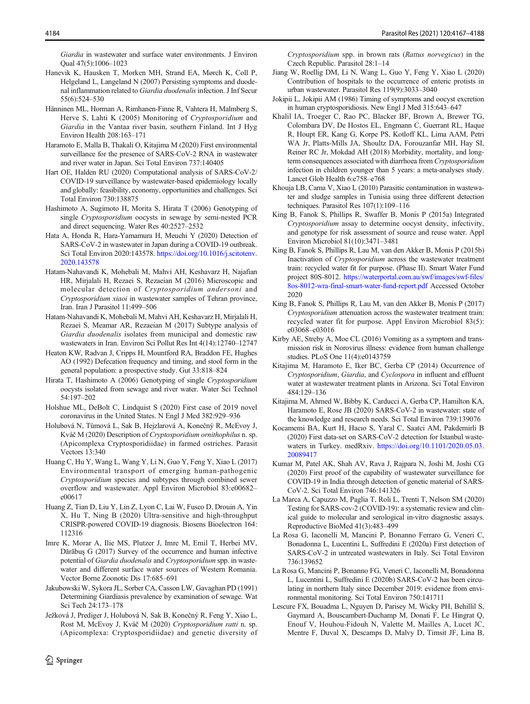<span id="page-17-0"></span>Giardia in wastewater and surface water environments. J Environ Qual 47(5):1006–1023

- Hanevik K, Hausken T, Morken MH, Strand EA, Mørch K, Coll P, Helgeland L, Langeland N (2007) Persisting symptoms and duodenal inflammation related to Giardia duodenalis infection. J Inf Secur 55(6):524–530
- Hänninen ML, Horman A, Rimhanen-Finne R, Vahtera H, Malmberg S, Herve S, Lahti K (2005) Monitoring of Cryptosporidium and Giardia in the Vantaa river basin, southern Finland. Int J Hyg Environ Health 208:163–171
- Haramoto E, Malla B, Thakali O, Kitajima M (2020) First environmental surveillance for the presence of SARS-CoV-2 RNA in wastewater and river water in Japan. Sci Total Environ 737:140405
- Hart OE, Halden RU (2020) Computational analysis of SARS-CoV-2/ COVID-19 surveillance by wastewater-based epidemiology locally and globally: feasibility, economy, opportunities and challenges. Sci Total Environ 730:138875
- Hashimoto A, Sugimoto H, Morita S, Hirata T (2006) Genotyping of single Cryptosporidium oocysts in sewage by semi-nested PCR and direct sequencing. Water Res 40:2527–2532
- Hata A, Honda R, Hara-Yamamura H, Meuchi Y (2020) Detection of SARS-CoV-2 in wastewater in Japan during a COVID-19 outbreak. Sci Total Environ 2020:143578. [https://doi.org/10.1016/j.scitotenv.](https://doi.org/10.1016/j.scitotenv.2020.143578) [2020.143578](https://doi.org/10.1016/j.scitotenv.2020.143578)
- Hatam-Nahavandi K, Mohebali M, Mahvi AH, Keshavarz H, Najafian HR, Mirjalali H, Rezaei S, Rezaeian M (2016) Microscopic and molecular detection of Cryptosporidium andersoni and Cryptosporidium xiaoi in wastewater samples of Tehran province, Iran. Iran J Parasitol 11:499–506
- Hatam-Nahavandi K, Mohebali M, Mahvi AH, Keshavarz H, Mirjalali H, Rezaei S, Meamar AR, Rezaeian M (2017) Subtype analysis of Giardia duodenalis isolates from municipal and domestic raw wastewaters in Iran. Environ Sci Pollut Res Int 4(14):12740–12747
- Heaton KW, Radvan J, Cripps H, Mountford RA, Braddon FE, Hughes AO (1992) Defecation frequency and timing, and stool form in the general population: a prospective study. Gut 33:818–824
- Hirata T, Hashimoto A (2006) Genotyping of single Cryptosporidium oocysts isolated from sewage and river water. Water Sci Technol 54:197–202
- Holshue ML, DeBolt C, Lindquist S (2020) First case of 2019 novel coronavirus in the United States. N Engl J Med 382:929–936
- Holubová N, Tůmová L, Sak B, Hejzlarová A, Konečný R, McEvoy J, Kváč M (2020) Description of Cryptosporidium ornithophilus n. sp. (Apicomplexa Cryptosporidiidae) in farmed ostriches. Parasit Vectors 13:340
- Huang C, Hu Y, Wang L, Wang Y, Li N, Guo Y, Feng Y, Xiao L (2017) Environmental transport of emerging human-pathogenic Cryptosporidium species and subtypes through combined sewer overflow and wastewater. Appl Environ Microbiol 83:e00682– e00617
- Huang Z, Tian D, Liu Y, Lin Z, Lyon C, Lai W, Fusco D, Drouin A, Yin X, Hu T, Ning B (2020) Ultra-sensitive and high-throughput CRISPR-powered COVID-19 diagnosis. Biosens Bioelectron 164: 112316
- Imre K, Morar A, Ilie MS, Plutzer J, Imre M, Emil T, Herbei MV, Dărăbuș G (2017) Survey of the occurrence and human infective potential of Giardia duodenalis and Cryptosporidium spp. in wastewater and different surface water sources of Western Romania. Vector Borne Zoonotic Dis 17:685–691
- Jakubowski W, Sykora JL, Sorber CA, Casson LW, Gavaghan PD (1991) Determining Giardiasis prevalence by examination of sewage. Wat Sci Tech 24:173–178
- Ježková J, Prediger J, Holubová N, Sak B, Konečný R, Feng Y, Xiao L, Rost M, McEvoy J, Kváč M (2020) Cryptosporidium ratti n. sp. (Apicomplexa: Cryptosporidiidae) and genetic diversity of

Cryptosporidium spp. in brown rats (Rattus norvegicus) in the Czech Republic. Parasitol 28:1–14

- Jiang W, Roellig DM, Li N, Wang L, Guo Y, Feng Y, Xiao L (2020) Contribution of hospitals to the occurrence of enteric protists in urban wastewater. Parasitol Res 119(9):3033–3040
- Jokipii L, Jokipii AM (1986) Timing of symptoms and oocyst excretion in human cryptosporidiosis. New Engl J Med 315:643–647
- Khalil IA, Troeger C, Rao PC, Blacker BF, Brown A, Brewer TG, Colombara DV, De Hostos EL, Engmann C, Guerrant RL, Haque R, Houpt ER, Kang G, Korpe PS, Kotloff KL, Lima AAM, Petri WA Jr, Platts-Mills JA, Shoultz DA, Forouzanfar MH, Hay SI, Reiner RC Jr, Mokdad AH (2018) Morbidity, mortality, and longterm consequences associated with diarrhoea from Cryptosporidium infection in children younger than 5 years: a meta-analyses study. Lancet Glob Health 6:e758–e768
- Khouja LB, Cama V, Xiao L (2010) Parasitic contamination in wastewater and sludge samples in Tunisia using three different detection techniques. Parasitol Res 107(1):109–116
- King B, Fanok S, Phillips R, Swaffer B, Monis P (2015a) Integrated Cryptosporidium assay to determine oocyst density, infectivity, and genotype for risk assessment of source and reuse water. Appl Environ Microbiol 81(10):3471–3481
- King B, Fanok S, Phillips R, Lau M, van den Akker B, Monis P (2015b) Inactivation of Cryptosporidium across the wastewater treatment train: recycled water fit for purpose. (Phase II). Smart Water Fund project 80S-8012. [https://waterportal.com.au/swf/images/swf-files/](https://waterportal.com.au/swf/images/swf-files/8os-8012-wra-final-smart-water-fund-report.pdf) [8os-8012-wra-final-smart-water-fund-report.pdf](https://waterportal.com.au/swf/images/swf-files/8os-8012-wra-final-smart-water-fund-report.pdf) Accessed October 2020
- King B, Fanok S, Phillips R, Lau M, van den Akker B, Monis P (2017) Cryptosporidium attenuation across the wastewater treatment train: recycled water fit for purpose. Appl Environ Microbiol 83(5): e03068–e03016
- Kirby AE, Streby A, Moe CL (2016) Vomiting as a symptom and transmission risk in Norovirus illness: evidence from human challenge studies. PLoS One 11(4):e0143759
- Kitajima M, Haramoto E, Iker BC, Gerba CP (2014) Occurrence of Cryptosporidium, Giardia, and Cyclospora in influent and effluent water at wastewater treatment plants in Arizona. Sci Total Environ 484:129–136
- Kitajima M, Ahmed W, Bibby K, Carducci A, Gerba CP, Hamilton KA, Haramoto E, Rose JB (2020) SARS-CoV-2 in wastewater: state of the knowledge and research needs. Sci Total Environ 739:139076
- Kocamemi BA, Kurt H, Hacıo S, Yaral C, Saatci AM, Pakdemirli B (2020) First data-set on SARS-CoV-2 detection for Istanbul wastewaters in Turkey. medRxiv. [https://doi.org/10.1101/2020.05.03.](https://doi.org/10.1101/2020.05.03.20089417) [20089417](https://doi.org/10.1101/2020.05.03.20089417)
- Kumar M, Patel AK, Shah AV, Rava J, Rajpara N, Joshi M, Joshi CG (2020) First proof of the capability of wastewater surveillance for COVID-19 in India through detection of genetic material of SARS-CoV-2. Sci Total Environ 746:141326
- La Marca A, Capuzzo M, Paglia T, Roli L, Trenti T, Nelson SM (2020) Testing for SARS-cov-2 (COVID-19): a systematic review and clinical guide to molecular and serological in-vitro diagnostic assays. Reproductive BioMed 41(3):483–499
- La Rosa G, Iaconelli M, Mancini P, Bonanno Ferraro G, Veneri C, Bonadonna L, Lucentini L, Suffredini E (2020a) First detection of SARS-CoV-2 in untreated wastewaters in Italy. Sci Total Environ 736:139652
- La Rosa G, Mancini P, Bonanno FG, Veneri C, Iaconelli M, Bonadonna L, Lucentini L, Suffredini E (2020b) SARS-CoV-2 has been circulating in northern Italy since December 2019: evidence from environmental monitoring. Sci Total Environ 750:141711
- Lescure FX, Bouadma L, Nguyen D, Parisey M, Wicky PH, Behillil S, Gaymard A, Bouscambert-Duchamp M, Donati F, Le Hingrat Q, Enouf V, Houhou-Fidouh N, Valette M, Mailles A, Lucet JC, Mentre F, Duval X, Descamps D, Malvy D, Timsit JF, Lina B,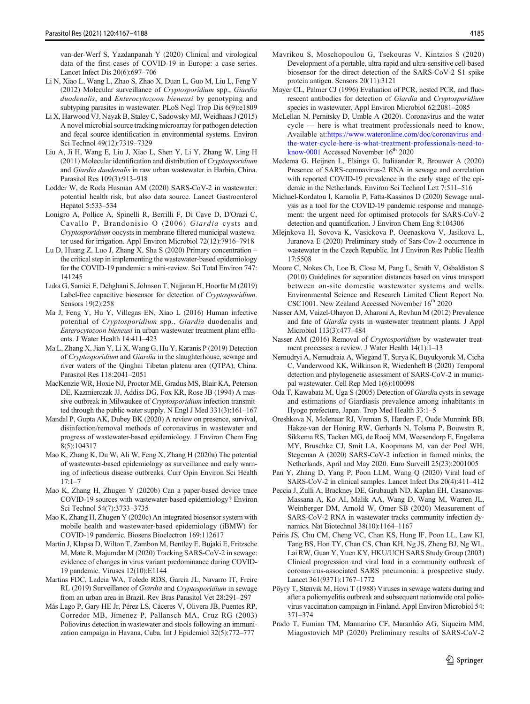<span id="page-18-0"></span>van-der-Werf S, Yazdanpanah Y (2020) Clinical and virological data of the first cases of COVID-19 in Europe: a case series. Lancet Infect Dis 20(6):697–706

- Li N, Xiao L, Wang L, Zhao S, Zhao X, Duan L, Guo M, Liu L, Feng Y (2012) Molecular surveillance of Cryptosporidium spp., Giardia duodenalis, and Enterocytozoon bieneusi by genotyping and subtyping parasites in wastewater. PLoS Negl Trop Dis 6(9):e1809
- Li X, Harwood VJ, Nayak B, Staley C, Sadowsky MJ, Weidhaas J (2015) A novel microbial source tracking microarray for pathogen detection and fecal source identification in environmental systems. Environ Sci Technol 49(12):7319–7329
- Liu A, Ji H, Wang E, Liu J, Xiao L, Shen Y, Li Y, Zhang W, Ling H (2011) Molecular identification and distribution of Cryptosporidium and Giardia duodenalis in raw urban wastewater in Harbin, China. Parasitol Res 109(3):913–918
- Lodder W, de Roda Husman AM (2020) SARS-CoV-2 in wastewater: potential health risk, but also data source. Lancet Gastroenterol Hepatol 5:533–534
- Lonigro A, Pollice A, Spinelli R, Berrilli F, Di Cave D, D'Orazi C, Cavallo P, Brandonisio O (2006) Giardia cysts and Cryptosporidium oocysts in membrane-filtered municipal wastewater used for irrigation. Appl Environ Microbiol 72(12):7916–7918
- Lu D, Huang Z, Luo J, Zhang X, Sha S (2020) Primary concentration the critical step in implementing the wastewater-based epidemiology for the COVID-19 pandemic: a mini-review. Sci Total Environ 747: 141245
- Luka G, Samiei E, Dehghani S, Johnson T, Najjaran H, Hoorfar M (2019) Label-free capacitive biosensor for detection of Cryptosporidium. Sensors 19(2):258
- Ma J, Feng Y, Hu Y, Villegas EN, Xiao L (2016) Human infective potential of Cryptosporidium spp., Giardia duodenalis and Enterocytozoon bieneusi in urban wastewater treatment plant effluents. J Water Health 14:411–423
- Ma L, Zhang X, Jian Y, Li X, Wang G, Hu Y, Karanis P (2019) Detection of Cryptosporidium and Giardia in the slaughterhouse, sewage and river waters of the Qinghai Tibetan plateau area (QTPA), China. Parasitol Res 118:2041–2051
- MacKenzie WR, Hoxie NJ, Proctor ME, Gradus MS, Blair KA, Peterson DE, Kazmierczak JJ, Addiss DG, Fox KR, Rose JB (1994) A massive outbreak in Milwaukee of Cryptosporidium infection transmitted through the public water supply. N Engl J Med 331(3):161–167
- Mandal P, Gupta AK, Dubey BK (2020) A review on presence, survival, disinfection/removal methods of coronavirus in wastewater and progress of wastewater-based epidemiology. J Environ Chem Eng 8(5):104317
- Mao K, Zhang K, Du W, Ali W, Feng X, Zhang H (2020a) The potential of wastewater-based epidemiology as surveillance and early warning of infectious disease outbreaks. Curr Opin Environ Sci Health  $17:1 - 7$
- Mao K, Zhang H, Zhugen Y (2020b) Can a paper-based device trace COVID-19 sources with wastewater-based epidemiology? Environ Sci Technol 54(7):3733–3735
- Mao K, Zhang H, Zhugen Y (2020c) An integrated biosensor system with mobile health and wastewater-based epidemiology (iBMW) for COVID-19 pandemic. Biosens Bioelectron 169:112617
- Martin J, Klapsa D, Wilton T, Zambon M, Bentley E, Bujaki E, Fritzsche M, Mate R, Majumdar M (2020) Tracking SARS-CoV-2 in sewage: evidence of changes in virus variant predominance during COVID-19 pandemic. Viruses 12(10):E1144
- Martins FDC, Ladeia WA, Toledo RDS, Garcia JL, Navarro IT, Freire RL (2019) Surveillance of Giardia and Cryptosporidium in sewage from an urban area in Brazil. Rev Bras Parasitol Vet 28:291–297
- Más Lago P, Gary HE Jr, Pérez LS, Cáceres V, Olivera JB, Puentes RP, Corredor MB, Jímenez P, Pallansch MA, Cruz RG (2003) Poliovirus detection in wastewater and stools following an immunization campaign in Havana, Cuba. Int J Epidemiol 32(5):772–777
- Mavrikou S, Moschopoulou G, Tsekouras V, Kintzios S (2020) Development of a portable, ultra-rapid and ultra-sensitive cell-based biosensor for the direct detection of the SARS-CoV-2 S1 spike protein antigen. Sensors 20(11):3121
- Mayer CL, Palmer CJ (1996) Evaluation of PCR, nested PCR, and fluorescent antibodies for detection of Giardia and Cryptosporidium species in wastewater. Appl Environ Microbiol 62:2081–2085
- McLellan N, Pernitsky D, Umble A (2020). Coronavirus and the water cycle — here is what treatment professionals need to know, Available at:[https://www.wateronline.com/doc/coronavirus-and](https://www.wateronline.com/doc/coronavirus-and-the-water-cycle-here-is-what-treatment-professionals-need-to-know-0001)[the-water-cycle-here-is-what-treatment-professionals-need-to](https://www.wateronline.com/doc/coronavirus-and-the-water-cycle-here-is-what-treatment-professionals-need-to-know-0001)[know-0001](https://www.wateronline.com/doc/coronavirus-and-the-water-cycle-here-is-what-treatment-professionals-need-to-know-0001) Accessed November  $16<sup>th</sup> 2020$
- Medema G, Heijnen L, Elsinga G, Italiaander R, Brouwer A (2020) Presence of SARS-coronavirus-2 RNA in sewage and correlation with reported COVID-19 prevalence in the early stage of the epidemic in the Netherlands. Environ Sci Technol Lett 7:511–516
- Michael-Kordatou I, Karaolia P, Fatta-Kassinos D (2020) Sewage analysis as a tool for the COVID-19 pandemic response and management: the urgent need for optimised protocols for SARS-CoV-2 detection and quantification. J Environ Chem Eng 8:104306
- Mlejnkova H, Sovova K, Vasickova P, Ocenaskova V, Jasikova L, Juranova E (2020) Preliminary study of Sars-Cov-2 occurrence in wastewater in the Czech Republic. Int J Environ Res Public Health 17:5508
- Moore C, Nokes Ch, Loe B, Close M, Pang L, Smith V, Osbaldiston S (2010) Guidelines for separation distances based on virus transport between on-site domestic wastewater systems and wells. Environmental Science and Research Limited Client Report No. CSC1001. New Zealand Accessed November 16<sup>th</sup> 2020
- Nasser AM, Vaizel-Ohayon D, Aharoni A, Revhun M (2012) Prevalence and fate of Giardia cysts in wastewater treatment plants. J Appl Microbiol 113(3):477–484
- Nasser AM (2016) Removal of Cryptosporidium by wastewater treatment processes: a review. J Water Health 14(1):1–13
- Nemudryi A, Nemudraia A, Wiegand T, Surya K, Buyukyoruk M, Cicha C, Vanderwood KK, Wilkinson R, Wiedenheft B (2020) Temporal detection and phylogenetic assessment of SARS-CoV-2 in municipal wastewater. Cell Rep Med 1(6):100098
- Oda T, Kawabata M, Uga S (2005) Detection of Giardia cysts in sewage and estimations of Giardiasis prevalence among inhabitants in Hyogo prefecture, Japan. Trop Med Health 33:1–5
- Oreshkova N, Molenaar RJ, Vreman S, Harders F, Oude Munnink BB, Hakze-van der Honing RW, Gerhards N, Tolsma P, Bouwstra R, Sikkema RS, Tacken MG, de Rooij MM, Weesendorp E, Engelsma MY, Bruschke CJ, Smit LA, Koopmans M, van der Poel WH, Stegeman A (2020) SARS-CoV-2 infection in farmed minks, the Netherlands, April and May 2020. Euro Surveill 25(23):2001005
- Pan Y, Zhang D, Yang P, Poon LLM, Wang Q (2020) Viral load of SARS-CoV-2 in clinical samples. Lancet Infect Dis 20(4):411–412
- Peccia J, Zulli A, Brackney DE, Grubaugh ND, Kaplan EH, Casanovas-Massana A, Ko AI, Malik AA, Wang D, Wang M, Warren JL, Weinberger DM, Arnold W, Omer SB (2020) Measurement of SARS-CoV-2 RNA in wastewater tracks community infection dynamics. Nat Biotechnol 38(10):1164–1167
- Peiris JS, Chu CM, Cheng VC, Chan KS, Hung IF, Poon LL, Law KI, Tang BS, Hon TY, Chan CS, Chan KH, Ng JS, Zheng BJ, Ng WL, Lai RW, Guan Y, Yuen KY, HKU/UCH SARS Study Group (2003) Clinical progression and viral load in a community outbreak of coronavirus-associated SARS pneumonia: a prospective study. Lancet 361(9371):1767–1772
- Pöyry T, Stenvik M, Hovi T (1988) Viruses in sewage waters during and after a poliomyelitis outbreak and subsequent nationwide oral poliovirus vaccination campaign in Finland. Appl Environ Microbiol 54: 371–374
- Prado T, Fumian TM, Mannarino CF, Maranhão AG, Siqueira MM, Miagostovich MP (2020) Preliminary results of SARS-CoV-2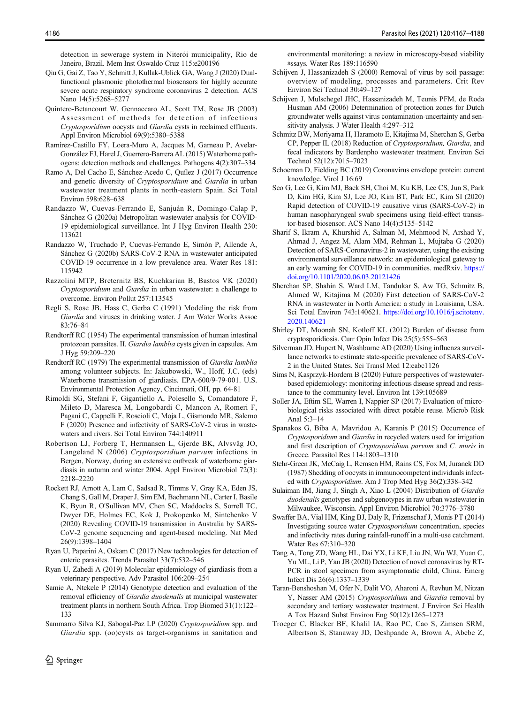<span id="page-19-0"></span>detection in sewerage system in Niterói municipality, Rio de Janeiro, Brazil. Mem Inst Oswaldo Cruz 115:e200196

- Qiu G, Gai Z, Tao Y, Schmitt J, Kullak-Ublick GA, Wang J (2020) Dualfunctional plasmonic photothermal biosensors for highly accurate severe acute respiratory syndrome coronavirus 2 detection. ACS Nano 14(5):5268–5277
- Quintero-Betancourt W, Gennaccaro AL, Scott TM, Rose JB (2003) Assessment of methods for detection of infectious Cryptosporidium oocysts and Giardia cysts in reclaimed effluents. Appl Environ Microbiol 69(9):5380–5388
- Ramírez-Castillo FY, Loera-Muro A, Jacques M, Garneau P, Avelar-González FJ, Harel J, Guerrero-Barrera AL (2015) Waterborne pathogens: detection methods and challenges. Pathogens 4(2):307–334
- Ramo A, Del Cacho E, Sánchez-Acedo C, Quílez J (2017) Occurrence and genetic diversity of Cryptosporidium and Giardia in urban wastewater treatment plants in north-eastern Spain. Sci Total Environ 598:628–638
- Randazzo W, Cuevas-Ferrando E, Sanjuán R, Domingo-Calap P, Sánchez G (2020a) Metropolitan wastewater analysis for COVID-19 epidemiological surveillance. Int J Hyg Environ Health 230: 113621
- Randazzo W, Truchado P, Cuevas-Ferrando E, Simón P, Allende A, Sánchez G (2020b) SARS-CoV-2 RNA in wastewater anticipated COVID-19 occurrence in a low prevalence area. Water Res 181: 115942
- Razzolini MTP, Breternitz BS, Kuchkarian B, Bastos VK (2020) Cryptosporidium and Giardia in urban wastewater: a challenge to overcome. Environ Pollut 257:113545
- Regli S, Rose JB, Hass C, Gerba C (1991) Modeling the risk from Giardia and viruses in drinking water. J Am Water Works Assoc 83:76–84
- Rendtorff RC (1954) The experimental transmission of human intestinal protozoan parasites. II. Giardia lamblia cysts given in capsules. Am J Hyg 59:209–220
- Rendtorff RC (1979) The experimental transmission of Giardia lamblia among volunteer subjects. In: Jakubowski, W., Hoff, J.C. (eds) Waterborne transmission of giardiasis. EPA-600/9-79-001. U.S. Environmental Protection Agency, Cincinnati, OH, pp. 64-81
- Rimoldi SG, Stefani F, Gigantiello A, Polesello S, Comandatore F, Mileto D, Maresca M, Longobardi C, Mancon A, Romeri F, Pagani C, Cappelli F, Roscioli C, Moja L, Gismondo MR, Salerno F (2020) Presence and infectivity of SARS-CoV-2 virus in wastewaters and rivers. Sci Total Environ 744:140911
- Robertson LJ, Forberg T, Hermansen L, Gjerde BK, Alvsvåg JO, Langeland N (2006) Cryptosporidium parvum infections in Bergen, Norway, during an extensive outbreak of waterborne giardiasis in autumn and winter 2004. Appl Environ Microbiol 72(3): 2218–2220
- Rockett RJ, Arnott A, Lam C, Sadsad R, Timms V, Gray KA, Eden JS, Chang S, Gall M, Draper J, Sim EM, Bachmann NL, Carter I, Basile K, Byun R, O'Sullivan MV, Chen SC, Maddocks S, Sorrell TC, Dwyer DE, Holmes EC, Kok J, Prokopenko M, Sintchenko V (2020) Revealing COVID-19 transmission in Australia by SARS-CoV-2 genome sequencing and agent-based modeling. Nat Med 26(9):1398–1404
- Ryan U, Paparini A, Oskam C (2017) New technologies for detection of enteric parasites. Trends Parasitol 33(7):532–546
- Ryan U, Zahedi A (2019) Molecular epidemiology of giardiasis from a veterinary perspective. Adv Parasitol 106:209–254
- Samie A, Ntekele P (2014) Genotypic detection and evaluation of the removal efficiency of Giardia duodenalis at municipal wastewater treatment plants in northern South Africa. Trop Biomed 31(1):122– 133
- Sammarro Silva KJ, Sabogal-Paz LP (2020) Cryptosporidium spp. and Giardia spp. (oo)cysts as target-organisms in sanitation and

environmental monitoring: a review in microscopy-based viability assays. Water Res 189:116590

- Schijven J, Hassanizadeh S (2000) Removal of virus by soil passage: overview of modeling, processes and parameters. Crit Rev Environ Sci Technol 30:49–127
- Schijven J, Mulschegel JHC, Hassanizadeh M, Teunis PFM, de Roda Husman AM (2006) Determination of protection zones for Dutch groundwater wells against virus contamination-uncertainty and sensitivity analysis. J Water Health 4:297–312
- Schmitz BW, Moriyama H, Haramoto E, Kitajima M, Sherchan S, Gerba CP, Pepper IL (2018) Reduction of Cryptosporidium, Giardia, and fecal indicators by Bardenpho wastewater treatment. Environ Sci Technol 52(12):7015–7023
- Schoeman D, Fielding BC (2019) Coronavirus envelope protein: current knowledge. Virol J 16:69
- Seo G, Lee G, Kim MJ, Baek SH, Choi M, Ku KB, Lee CS, Jun S, Park D, Kim HG, Kim SJ, Lee JO, Kim BT, Park EC, Kim SI (2020) Rapid detection of COVID-19 causative virus (SARS-CoV-2) in human nasopharyngeal swab specimens using field-effect transistor-based biosensor. ACS Nano 14(4):5135–5142
- Sharif S, Ikram A, Khurshid A, Salman M, Mehmood N, Arshad Y, Ahmad J, Angez M, Alam MM, Rehman L, Mujtaba G (2020) Detection of SARS-Coronavirus-2 in wastewater, using the existing environmental surveillance network: an epidemiological gateway to an early warning for COVID-19 in communities. medRxiv. [https://](https://doi.org/10.1101/2020.06.03.20121426) [doi.org/10.1101/2020.06.03.20121426](https://doi.org/10.1101/2020.06.03.20121426)
- Sherchan SP, Shahin S, Ward LM, Tandukar S, Aw TG, Schmitz B, Ahmed W, Kitajima M (2020) First detection of SARS-CoV-2 RNA in wastewater in North America: a study in Louisiana, USA. Sci Total Environ 743:140621. [https://doi.org/10.1016/j.scitotenv.](https://doi.org/10.1016/j.scitotenv.2020.140621) [2020.140621](https://doi.org/10.1016/j.scitotenv.2020.140621)
- Shirley DT, Moonah SN, Kotloff KL (2012) Burden of disease from cryptosporidiosis. Curr Opin Infect Dis 25(5):555–563
- Silverman JD, Hupert N, Washburne AD (2020) Using influenza surveillance networks to estimate state-specific prevalence of SARS-CoV-2 in the United States. Sci Transl Med 12:eabc1126
- Sims N, Kasprzyk-Hordern B (2020) Future perspectives of wastewaterbased epidemiology: monitoring infectious disease spread and resistance to the community level. Environ Int 139:105689
- Soller JA, Eftim SE, Warren I, Nappier SP (2017) Evaluation of microbiological risks associated with direct potable reuse. Microb Risk Anal 5:3–14
- Spanakos G, Biba A, Mavridou A, Karanis P (2015) Occurrence of Cryptosporidium and Giardia in recycled waters used for irrigation and first description of Cryptosporidium parvum and C. muris in Greece. Parasitol Res 114:1803–1310
- Stehr-Green JK, McCaig L, Remsen HM, Rains CS, Fox M, Juranek DD (1987) Shedding of oocysts in immunocompetent individuals infected with Cryptosporidium. Am J Trop Med Hyg 36(2):338–342
- Sulaiman IM, Jiang J, Singh A, Xiao L (2004) Distribution of Giardia duodenalis genotypes and subgenotypes in raw urban wastewater in Milwaukee, Wisconsin. Appl Environ Microbiol 70:3776–3780
- Swaffer BA, Vial HM, King BJ, Daly R, Frizenschaf J, Monis PT (2014) Investigating source water Cryptosporidium concentration, species and infectivity rates during rainfall-runoff in a multi-use catchment. Water Res 67:310–320
- Tang A, Tong ZD, Wang HL, Dai YX, Li KF, Liu JN, Wu WJ, Yuan C, Yu ML, Li P, Yan JB (2020) Detection of novel coronavirus by RT-PCR in stool specimen from asymptomatic child, China. Emerg Infect Dis 26(6):1337–1339
- Taran-Benshoshan M, Ofer N, Dalit VO, Aharoni A, Revhun M, Nitzan Y, Nasser AM (2015) Cryptosporidium and Giardia removal by secondary and tertiary wastewater treatment. J Environ Sci Health A Tox Hazard Subst Environ Eng 50(12):1265–1273
- Troeger C, Blacker BF, Khalil IA, Rao PC, Cao S, Zimsen SRM, Albertson S, Stanaway JD, Deshpande A, Brown A, Abebe Z,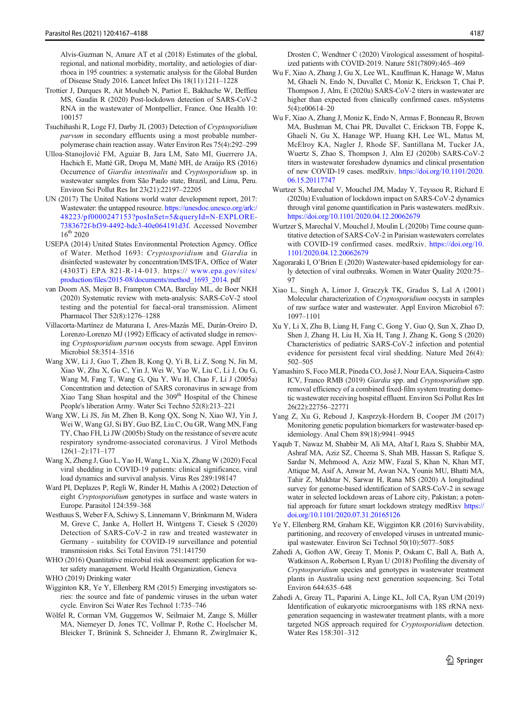<span id="page-20-0"></span>Alvis-Guzman N, Amare AT et al (2018) Estimates of the global, regional, and national morbidity, mortality, and aetiologies of diarrhoea in 195 countries: a systematic analysis for the Global Burden of Disease Study 2016. Lancet Infect Dis 18(11):1211–1228

- Trottier J, Darques R, Ait Mouheb N, Partiot E, Bakhache W, Deffieu MS, Gaudin R (2020) Post-lockdown detection of SARS-CoV-2 RNA in the wastewater of Montpellier, France. One Health 10: 100157
- Tsuchihashi R, Loge FJ, Darby JL (2003) Detection of Cryptosporidium parvum in secondary effluents using a most probable numberpolymerase chain reaction assay. Water Environ Res 75(4):292–299
- Ulloa-Stanojlović FM, Aguiar B, Jara LM, Sato MI, Guerrero JA, Hachich E, Matté GR, Dropa M, Matté MH, de Araújo RS (2016) Occurrence of Giardia intestinalis and Cryptosporidium sp. in wastewater samples from São Paulo state, Brazil, and Lima, Peru. Environ Sci Pollut Res Int 23(21):22197–22205
- UN (2017) The United Nations world water development report, 2017: Wastewater: the untapped resource. [https://unesdoc.unesco.org/ark:/](https://unesdoc.unesco.org/ark:/48223/pf0000247153?posInSet=5&queryId=N-EXPLORE-7383672f-bf39-4492-bdc3-40e064191d3f) [48223/pf0000247153?posInSet=5&queryId=N-EXPLORE-](https://unesdoc.unesco.org/ark:/48223/pf0000247153?posInSet=5&queryId=N-EXPLORE-7383672f-bf39-4492-bdc3-40e064191d3f)[7383672f-bf39-4492-bdc3-40e064191d3f.](https://unesdoc.unesco.org/ark:/48223/pf0000247153?posInSet=5&queryId=N-EXPLORE-7383672f-bf39-4492-bdc3-40e064191d3f) Accessed November  $16^{th}$  2020
- USEPA (2014) United States Environmental Protection Agency. Office of Water. Method 1693: Cryptosporidium and Giardia in disinfected wastewater by concentration/IMS/IFA, Office of Water (4303T) EPA 821-R-14-013. https:// [www.epa.gov/sites/](http://www.epa.gov/sites/production/files/2015-08/documents/method_1693_2014) [production/files/2015-08/documents/method\\_1693\\_2014.](http://www.epa.gov/sites/production/files/2015-08/documents/method_1693_2014) pdf
- van Doorn AS, Meijer B, Frampton CMA, Barclay ML, de Boer NKH (2020) Systematic review with meta-analysis: SARS-CoV-2 stool testing and the potential for faecal-oral transmission. Aliment Pharmacol Ther 52(8):1276–1288
- Villacorta-Martínez de Maturana I, Ares-Mazás ME, Durán-Oreiro D, Lorenzo-Lorenzo MJ (1992) Efficacy of activated sludge in removing Cryptosporidium parvum oocysts from sewage. Appl Environ Microbiol 58:3514–3516
- Wang XW, Li J, Guo T, Zhen B, Kong Q, Yi B, Li Z, Song N, Jin M, Xiao W, Zhu X, Gu C, Yin J, Wei W, Yao W, Liu C, Li J, Ou G, Wang M, Fang T, Wang G, Qiu Y, Wu H, Chao F, Li J (2005a) Concentration and detection of SARS coronavirus in sewage from Xiao Tang Shan hospital and the 309<sup>th</sup> Hospital of the Chinese People's liberation Army. Water Sci Techno 52(8):213–221
- Wang XW, Li JS, Jin M, Zhen B, Kong QX, Song N, Xiao WJ, Yin J, Wei W, Wang GJ, Si BY, Guo BZ, Liu C, Ou GR, Wang MN, Fang TY, Chao FH, Li JW (2005b) Study on the resistance of severe acute respiratory syndrome-associated coronavirus. J Virol Methods 126(1–2):171–177
- Wang X, Zheng J, Guo L, Yao H, Wang L, Xia X, Zhang W (2020) Fecal viral shedding in COVID-19 patients: clinical significance, viral load dynamics and survival analysis. Virus Res 289:198147
- Ward PI, Deplazes P, Regli W, Rinder H, Mathis A (2002) Detection of eight Cryptosporidium genotypes in surface and waste waters in Europe. Parasitol 124:359–368
- Westhaus S, Weber FA, Schiwy S, Linnemann V, Brinkmann M, Widera M, Greve C, Janke A, Hollert H, Wintgens T, Ciesek S (2020) Detection of SARS-CoV-2 in raw and treated wastewater in Germany - suitability for COVID-19 surveillance and potential transmission risks. Sci Total Environ 751:141750

WHO (2016) Quantitative microbial risk assessment: application for water safety management. World Health Organization, Geneva

- WHO (2019) Drinking water
- Wigginton KR, Ye Y, Ellenberg RM (2015) Emerging investigators series: the source and fate of pandemic viruses in the urban water cycle. Environ Sci Water Res Technol 1:735–746
- Wölfel R, Corman VM, Guggemos W, Seilmaier M, Zange S, Müller MA, Niemeyer D, Jones TC, Vollmar P, Rothe C, Hoelscher M, Bleicker T, Brünink S, Schneider J, Ehmann R, Zwirglmaier K,

Drosten C, Wendtner C (2020) Virological assessment of hospitalized patients with COVID-2019. Nature 581(7809):465–469

- Wu F, Xiao A, Zhang J, Gu X, Lee WL, Kauffman K, Hanage W, Matus M, Ghaeli N, Endo N, Duvallet C, Moniz K, Erickson T, Chai P, Thompson J, Alm, E (2020a) SARS-CoV-2 titers in wastewater are higher than expected from clinically confirmed cases. mSystems 5(4):e00614–20
- Wu F, Xiao A, Zhang J, Moniz K, Endo N, Armas F, Bonneau R, Brown MA, Bushman M, Chai PR, Duvallet C, Erickson TB, Foppe K, Ghaeli N, Gu X, Hanage WP, Huang KH, Lee WL, Matus M, McElroy KA, Nagler J, Rhode SF, Santillana M, Tucker JA, Wuertz S, Zhao S, Thompson J, Alm EJ (2020b) SARS-CoV-2 titers in wastewater foreshadow dynamics and clinical presentation of new COVID-19 cases. medRxiv. [https://doi.org/10.1101/2020.](https://doi.org/10.1101/2020.06.15.20117747) [06.15.20117747](https://doi.org/10.1101/2020.06.15.20117747)
- Wurtzer S, Marechal V, Mouchel JM, Maday Y, Teyssou R, Richard E (2020a) Evaluation of lockdown impact on SARS-CoV-2 dynamics through viral genome quantification in Paris wastewaters. medRxiv. <https://doi.org/10.1101/2020.04.12.20062679>
- Wurtzer S, Marechal V, Mouchel J, Moulin L (2020b) Time course quantitative detection of SARS-CoV-2 in Parisian wastewaters correlates with COVID-19 confirmed cases. medRxiv. [https://doi.org/10.](https://doi.org/10.1101/2020.04.12.20062679) [1101/2020.04.12.20062679](https://doi.org/10.1101/2020.04.12.20062679)
- Xagoraraki I, O'Brien E (2020) Wastewater-based epidemiology for early detection of viral outbreaks. Women in Water Quality 2020:75– **97**
- Xiao L, Singh A, Limor J, Graczyk TK, Gradus S, Lal A (2001) Molecular characterization of Cryptosporidium oocysts in samples of raw surface water and wastewater. Appl Environ Microbiol 67: 1097–1101
- Xu Y, Li X, Zhu B, Liang H, Fang C, Gong Y, Guo Q, Sun X, Zhao D, Shen J, Zhang H, Liu H, Xia H, Tang J, Zhang K, Gong S (2020) Characteristics of pediatric SARS-CoV-2 infection and potential evidence for persistent fecal viral shedding. Nature Med 26(4): 502–505
- Yamashiro S, Foco MLR, Pineda CO, José J, Nour EAA, Siqueira-Castro ICV, Franco RMB (2019) Giardia spp. and Cryptosporidium spp. removal efficiency of a combined fixed-film system treating domestic wastewater receiving hospital effluent. Environ Sci Pollut Res Int 26(22):22756–22771
- Yang Z, Xu G, Reboud J, Kasprzyk-Hordern B, Cooper JM (2017) Monitoring genetic population biomarkers for wastewater-based epidemiology. Anal Chem 89(18):9941–9945
- Yaqub T, Nawaz M, Shabbir M, Ali MA, Altaf I, Raza S, Shabbir MA, Ashraf MA, Aziz SZ, Cheema S, Shah MB, Hassan S, Rafique S, Sardar N, Mehmood A, Aziz MW, Fazal S, Khan N, Khan MT, Attique M, Asif A, Anwar M, Awan NA, Younis MU, Bhatti MA, Tahir Z, Mukhtar N, Sarwar H, Rana MS (2020) A longitudinal survey for genome-based identification of SARS-CoV-2 in sewage water in selected lockdown areas of Lahore city, Pakistan; a potential approach for future smart lockdown strategy medRixv [https://](https://doi.org/10.1101/2020.07.31.20165126) [doi.org/10.1101/2020.07.31.20165126](https://doi.org/10.1101/2020.07.31.20165126)
- Ye Y, Ellenberg RM, Graham KE, Wigginton KR (2016) Survivability, partitioning, and recovery of enveloped viruses in untreated municipal wastewater. Environ Sci Technol 50(10):5077–5085
- Zahedi A, Gofton AW, Greay T, Monis P, Oskam C, Ball A, Bath A, Watkinson A, Robertson I, Ryan U (2018) Profiling the diversity of Cryptosporidium species and genotypes in wastewater treatment plants in Australia using next generation sequencing. Sci Total Environ 644:635–648
- Zahedi A, Greay TL, Paparini A, Linge KL, Joll CA, Ryan UM (2019) Identification of eukaryotic microorganisms with 18S rRNA nextgeneration sequencing in wastewater treatment plants, with a more targeted NGS approach required for Cryptosporidium detection. Water Res 158:301–312